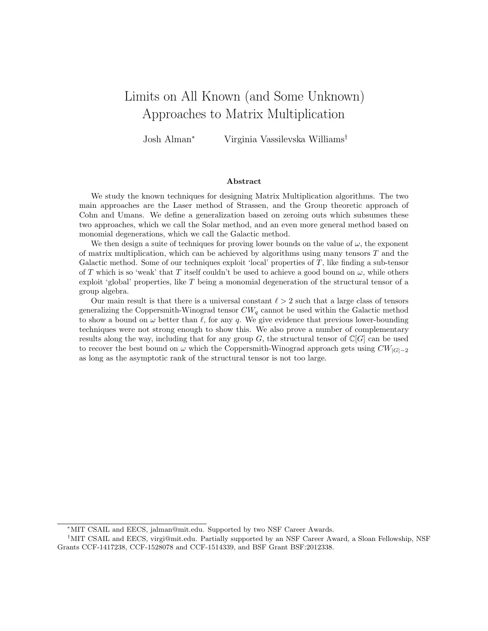# Limits on All Known (and Some Unknown) Approaches to Matrix Multiplication

Josh Alman<sup>∗</sup> Virginia Vassilevska Williams†

#### Abstract

We study the known techniques for designing Matrix Multiplication algorithms. The two main approaches are the Laser method of Strassen, and the Group theoretic approach of Cohn and Umans. We define a generalization based on zeroing outs which subsumes these two approaches, which we call the Solar method, and an even more general method based on monomial degenerations, which we call the Galactic method.

We then design a suite of techniques for proving lower bounds on the value of  $\omega$ , the exponent of matrix multiplication, which can be achieved by algorithms using many tensors  $T$  and the Galactic method. Some of our techniques exploit 'local' properties of  $T$ , like finding a sub-tensor of T which is so 'weak' that T itself couldn't be used to achieve a good bound on  $\omega$ , while others exploit 'global' properties, like  $T$  being a monomial degeneration of the structural tensor of a group algebra.

Our main result is that there is a universal constant  $\ell > 2$  such that a large class of tensors generalizing the Coppersmith-Winograd tensor  $CW_q$  cannot be used within the Galactic method to show a bound on  $\omega$  better than  $\ell$ , for any q. We give evidence that previous lower-bounding techniques were not strong enough to show this. We also prove a number of complementary results along the way, including that for any group G, the structural tensor of  $\mathbb{C}[G]$  can be used to recover the best bound on  $\omega$  which the Coppersmith-Winograd approach gets using  $CW_{|G|-2}$ as long as the asymptotic rank of the structural tensor is not too large.

<sup>∗</sup>MIT CSAIL and EECS, jalman@mit.edu. Supported by two NSF Career Awards.

<sup>†</sup>MIT CSAIL and EECS, virgi@mit.edu. Partially supported by an NSF Career Award, a Sloan Fellowship, NSF Grants CCF-1417238, CCF-1528078 and CCF-1514339, and BSF Grant BSF:2012338.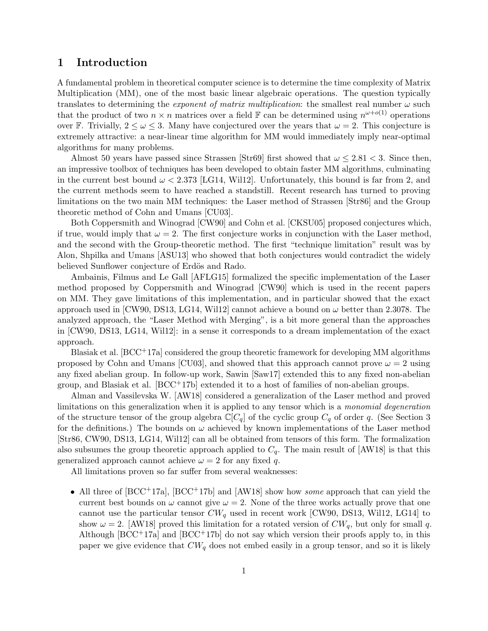# 1 Introduction

A fundamental problem in theoretical computer science is to determine the time complexity of Matrix Multiplication (MM), one of the most basic linear algebraic operations. The question typically translates to determining the *exponent of matrix multiplication*: the smallest real number  $\omega$  such that the product of two  $n \times n$  matrices over a field F can be determined using  $n^{\omega+o(1)}$  operations over F. Trivially,  $2 \leq \omega \leq 3$ . Many have conjectured over the years that  $\omega = 2$ . This conjecture is extremely attractive: a near-linear time algorithm for MM would immediately imply near-optimal algorithms for many problems.

Almost 50 years have passed since Strassen [Str69] first showed that  $\omega \leq 2.81 < 3$ . Since then, an impressive toolbox of techniques has been developed to obtain faster MM algorithms, culminating in the current best bound  $\omega < 2.373$  [LG14, Wil12]. Unfortunately, this bound is far from 2, and the current methods seem to have reached a standstill. Recent research has turned to proving limitations on the two main MM techniques: the Laser method of Strassen [Str86] and the Group theoretic method of Cohn and Umans [CU03].

Both Coppersmith and Winograd [CW90] and Cohn et al. [CKSU05] proposed conjectures which, if true, would imply that  $\omega = 2$ . The first conjecture works in conjunction with the Laser method, and the second with the Group-theoretic method. The first "technique limitation" result was by Alon, Shpilka and Umans [ASU13] who showed that both conjectures would contradict the widely believed Sunflower conjecture of Erdös and Rado.

Ambainis, Filmus and Le Gall [AFLG15] formalized the specific implementation of the Laser method proposed by Coppersmith and Winograd [CW90] which is used in the recent papers on MM. They gave limitations of this implementation, and in particular showed that the exact approach used in [CW90, DS13, LG14, Wil12] cannot achieve a bound on  $\omega$  better than 2.3078. The analyzed approach, the "Laser Method with Merging", is a bit more general than the approaches in [CW90, DS13, LG14, Wil12]: in a sense it corresponds to a dream implementation of the exact approach.

Blasiak et al.  $[BCC<sup>+</sup>17a]$  considered the group theoretic framework for developing MM algorithms proposed by Cohn and Umans [CU03], and showed that this approach cannot prove  $\omega = 2$  using any fixed abelian group. In follow-up work, Sawin [Saw17] extended this to any fixed non-abelian group, and Blasiak et al.  $[BCC^+17b]$  extended it to a host of families of non-abelian groups.

Alman and Vassilevska W. [AW18] considered a generalization of the Laser method and proved limitations on this generalization when it is applied to any tensor which is a monomial degeneration of the structure tensor of the group algebra  $\mathbb{C}[C_q]$  of the cyclic group  $C_q$  of order q. (See Section 3 for the definitions.) The bounds on  $\omega$  achieved by known implementations of the Laser method [Str86, CW90, DS13, LG14, Wil12] can all be obtained from tensors of this form. The formalization also subsumes the group theoretic approach applied to  $C_q$ . The main result of [AW18] is that this generalized approach cannot achieve  $\omega = 2$  for any fixed q.

All limitations proven so far suffer from several weaknesses:

• All three of  $[BCC^+17a]$ ,  $[BCC^+17b]$  and  $[AW18]$  show how some approach that can yield the current best bounds on  $\omega$  cannot give  $\omega = 2$ . None of the three works actually prove that one cannot use the particular tensor  $CW_q$  used in recent work [CW90, DS13, Wil12, LG14] to show  $\omega = 2$ . [AW18] proved this limitation for a rotated version of  $CW_q$ , but only for small q. Although  $[BCC^+17a]$  and  $[BCC^+17b]$  do not say which version their proofs apply to, in this paper we give evidence that  $CW_q$  does not embed easily in a group tensor, and so it is likely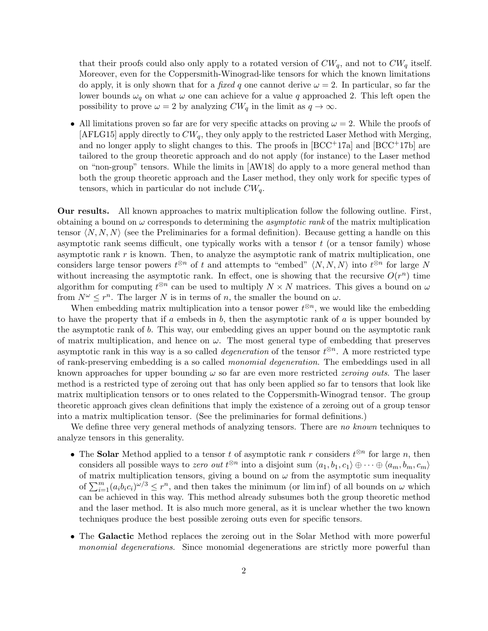that their proofs could also only apply to a rotated version of  $CW_q$ , and not to  $CW_q$  itself. Moreover, even for the Coppersmith-Winograd-like tensors for which the known limitations do apply, it is only shown that for a *fixed q* one cannot derive  $\omega = 2$ . In particular, so far the lower bounds  $\omega_q$  on what  $\omega$  one can achieve for a value q approached 2. This left open the possibility to prove  $\omega = 2$  by analyzing  $CW_q$  in the limit as  $q \to \infty$ .

• All limitations proven so far are for very specific attacks on proving  $\omega = 2$ . While the proofs of  $[AFLG15]$  apply directly to  $CW_q$ , they only apply to the restricted Laser Method with Merging, and no longer apply to slight changes to this. The proofs in  $[BCC^+17a]$  and  $[BCC^+17b]$  are tailored to the group theoretic approach and do not apply (for instance) to the Laser method on "non-group" tensors. While the limits in [AW18] do apply to a more general method than both the group theoretic approach and the Laser method, they only work for specific types of tensors, which in particular do not include  $CW_a$ .

Our results. All known approaches to matrix multiplication follow the following outline. First, obtaining a bound on  $\omega$  corresponds to determining the *asymptotic rank* of the matrix multiplication tensor  $\langle N, N, N \rangle$  (see the Preliminaries for a formal definition). Because getting a handle on this asymptotic rank seems difficult, one typically works with a tensor  $t$  (or a tensor family) whose asymptotic rank  $r$  is known. Then, to analyze the asymptotic rank of matrix multiplication, one considers large tensor powers  $t^{\otimes n}$  of t and attempts to "embed"  $\langle N, N, N \rangle$  into  $t^{\otimes n}$  for large N without increasing the asymptotic rank. In effect, one is showing that the recursive  $O(r^n)$  time algorithm for computing  $t^{\otimes n}$  can be used to multiply  $N \times N$  matrices. This gives a bound on  $\omega$ from  $N^{\omega} \leq r^{n}$ . The larger N is in terms of n, the smaller the bound on  $\omega$ .

When embedding matrix multiplication into a tensor power  $t^{\otimes n}$ , we would like the embedding to have the property that if a embeds in  $b$ , then the asymptotic rank of a is upper bounded by the asymptotic rank of b. This way, our embedding gives an upper bound on the asymptotic rank of matrix multiplication, and hence on  $\omega$ . The most general type of embedding that preserves asymptotic rank in this way is a so called *degeneration* of the tensor  $t^{\otimes n}$ . A more restricted type of rank-preserving embedding is a so called monomial degeneration. The embeddings used in all known approaches for upper bounding  $\omega$  so far are even more restricted *zeroing outs*. The laser method is a restricted type of zeroing out that has only been applied so far to tensors that look like matrix multiplication tensors or to ones related to the Coppersmith-Winograd tensor. The group theoretic approach gives clean definitions that imply the existence of a zeroing out of a group tensor into a matrix multiplication tensor. (See the preliminaries for formal definitions.)

We define three very general methods of analyzing tensors. There are no known techniques to analyze tensors in this generality.

- The Solar Method applied to a tensor t of asymptotic rank r considers  $t^{\otimes n}$  for large n, then considers all possible ways to *zero out*  $t^{\otimes n}$  into a disjoint sum  $\langle a_1, b_1, c_1 \rangle \oplus \cdots \oplus \langle a_m, b_m, c_m \rangle$ of matrix multiplication tensors, giving a bound on  $\omega$  from the asymptotic sum inequality of  $\sum_{i=1}^{m} (a_i b_i c_i)^{\omega/3} \leq r^n$ , and then takes the minimum (or liminf) of all bounds on  $\omega$  which can be achieved in this way. This method already subsumes both the group theoretic method and the laser method. It is also much more general, as it is unclear whether the two known techniques produce the best possible zeroing outs even for specific tensors.
- The Galactic Method replaces the zeroing out in the Solar Method with more powerful monomial degenerations. Since monomial degenerations are strictly more powerful than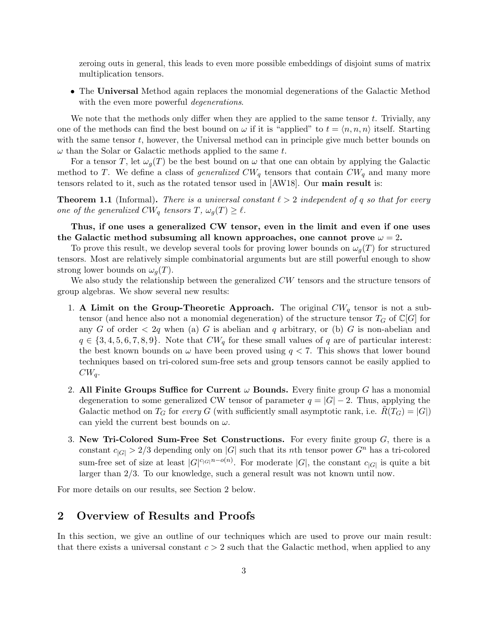zeroing outs in general, this leads to even more possible embeddings of disjoint sums of matrix multiplication tensors.

• The Universal Method again replaces the monomial degenerations of the Galactic Method with the even more powerful *degenerations*.

We note that the methods only differ when they are applied to the same tensor  $t$ . Trivially, any one of the methods can find the best bound on  $\omega$  if it is "applied" to  $t = \langle n, n, n \rangle$  itself. Starting with the same tensor  $t$ , however, the Universal method can in principle give much better bounds on  $\omega$  than the Solar or Galactic methods applied to the same t.

For a tensor T, let  $\omega_q(T)$  be the best bound on  $\omega$  that one can obtain by applying the Galactic method to T. We define a class of *generalized*  $CW_q$  tensors that contain  $CW_q$  and many more tensors related to it, such as the rotated tensor used in [AW18]. Our main result is:

**Theorem 1.1** (Informal). There is a universal constant  $\ell > 2$  independent of q so that for every one of the generalized  $CW_q$  tensors  $T, \omega_q(T) \geq \ell$ .

Thus, if one uses a generalized CW tensor, even in the limit and even if one uses the Galactic method subsuming all known approaches, one cannot prove  $\omega = 2$ .

To prove this result, we develop several tools for proving lower bounds on  $\omega_q(T)$  for structured tensors. Most are relatively simple combinatorial arguments but are still powerful enough to show strong lower bounds on  $\omega_q(T)$ .

We also study the relationship between the generalized  $CW$  tensors and the structure tensors of group algebras. We show several new results:

- 1. A Limit on the Group-Theoretic Approach. The original  $CW_q$  tensor is not a subtensor (and hence also not a monomial degeneration) of the structure tensor  $T_G$  of  $\mathbb{C}[G]$  for any G of order  $\langle 2q \rangle$  when (a) G is abelian and q arbitrary, or (b) G is non-abelian and  $q \in \{3, 4, 5, 6, 7, 8, 9\}$ . Note that  $CW_q$  for these small values of q are of particular interest: the best known bounds on  $\omega$  have been proved using  $q < 7$ . This shows that lower bound techniques based on tri-colored sum-free sets and group tensors cannot be easily applied to  $CW_q$ .
- 2. All Finite Groups Suffice for Current  $\omega$  Bounds. Every finite group G has a monomial degeneration to some generalized CW tensor of parameter  $q = |G| - 2$ . Thus, applying the Galactic method on  $T_G$  for every G (with sufficiently small asymptotic rank, i.e.  $R(T_G) = |G|$ ) can yield the current best bounds on  $\omega$ .
- 3. New Tri-Colored Sum-Free Set Constructions. For every finite group  $G$ , there is a constant  $c_{|G|} > 2/3$  depending only on |G| such that its nth tensor power  $G<sup>n</sup>$  has a tri-colored sum-free set of size at least  $|G|^{c_{|G|}n-o(n)}$ . For moderate  $|G|$ , the constant  $c_{|G|}$  is quite a bit larger than 2/3. To our knowledge, such a general result was not known until now.

For more details on our results, see Section 2 below.

# 2 Overview of Results and Proofs

In this section, we give an outline of our techniques which are used to prove our main result: that there exists a universal constant  $c > 2$  such that the Galactic method, when applied to any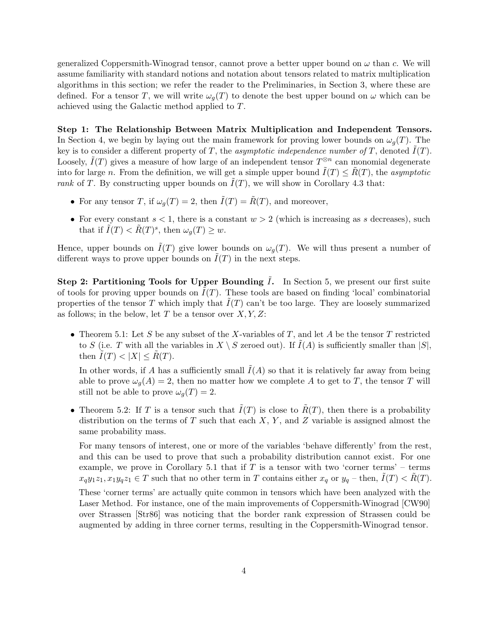generalized Coppersmith-Winograd tensor, cannot prove a better upper bound on  $\omega$  than c. We will assume familiarity with standard notions and notation about tensors related to matrix multiplication algorithms in this section; we refer the reader to the Preliminaries, in Section 3, where these are defined. For a tensor T, we will write  $\omega_g(T)$  to denote the best upper bound on  $\omega$  which can be achieved using the Galactic method applied to T.

Step 1: The Relationship Between Matrix Multiplication and Independent Tensors. In Section 4, we begin by laying out the main framework for proving lower bounds on  $\omega_g(T)$ . The key is to consider a different property of T, the asymptotic independence number of T, denoted  $\tilde{I}(T)$ . Loosely,  $\tilde{I}(T)$  gives a measure of how large of an independent tensor  $T^{\otimes n}$  can monomial degenerate into for large n. From the definition, we will get a simple upper bound  $\tilde{I}(T) \leq \tilde{R}(T)$ , the asymptotic rank of T. By constructing upper bounds on  $\tilde{I}(T)$ , we will show in Corollary 4.3 that:

- For any tensor T, if  $\omega_q(T) = 2$ , then  $\tilde{I}(T) = \tilde{R}(T)$ , and moreover,
- For every constant  $s < 1$ , there is a constant  $w > 2$  (which is increasing as s decreases), such that if  $\tilde{I}(T) < \tilde{R}(T)^s$ , then  $\omega_g(T) \geq w$ .

Hence, upper bounds on  $\tilde{I}(T)$  give lower bounds on  $\omega_g(T)$ . We will thus present a number of different ways to prove upper bounds on  $I(T)$  in the next steps.

Step 2: Partitioning Tools for Upper Bounding  $\tilde{I}$ . In Section 5, we present our first suite of tools for proving upper bounds on  $I(T)$ . These tools are based on finding 'local' combinatorial properties of the tensor T which imply that  $I(T)$  can't be too large. They are loosely summarized as follows; in the below, let T be a tensor over  $X, Y, Z$ :

• Theorem 5.1: Let S be any subset of the X-variables of T, and let A be the tensor T restricted to S (i.e. T with all the variables in  $X \setminus S$  zeroed out). If  $\tilde{I}(A)$  is sufficiently smaller than  $|S|$ , then  $\tilde{I}(T) < |X| \leq R(T)$ .

In other words, if A has a sufficiently small  $\tilde{I}(A)$  so that it is relatively far away from being able to prove  $\omega_q(A) = 2$ , then no matter how we complete A to get to T, the tensor T will still not be able to prove  $\omega_q(T) = 2$ .

• Theorem 5.2: If T is a tensor such that  $\tilde{I}(T)$  is close to  $\tilde{R}(T)$ , then there is a probability distribution on the terms of T such that each  $X, Y$ , and Z variable is assigned almost the same probability mass.

For many tensors of interest, one or more of the variables 'behave differently' from the rest, and this can be used to prove that such a probability distribution cannot exist. For one example, we prove in Corollary 5.1 that if  $T$  is a tensor with two 'corner terms' – terms  $x_qy_1z_1, x_1y_qz_1 \in T$  such that no other term in T contains either  $x_q$  or  $y_q$  – then,  $\tilde{I}(T) < \tilde{R}(T)$ .

These 'corner terms' are actually quite common in tensors which have been analyzed with the Laser Method. For instance, one of the main improvements of Coppersmith-Winograd [CW90] over Strassen [Str86] was noticing that the border rank expression of Strassen could be augmented by adding in three corner terms, resulting in the Coppersmith-Winograd tensor.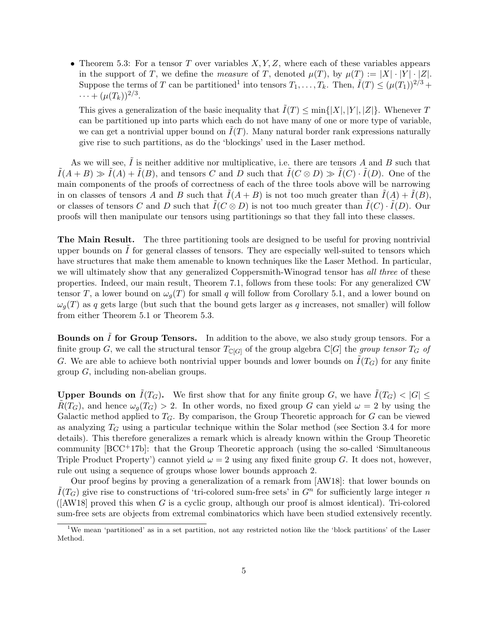• Theorem 5.3: For a tensor T over variables  $X, Y, Z$ , where each of these variables appears in the support of T, we define the *measure* of T, denoted  $\mu(T)$ , by  $\mu(T) := |X| \cdot |Y| \cdot |Z|$ . Suppose the terms of T can be partitioned<sup>1</sup> into tensors  $T_1, \ldots, T_k$ . Then,  $\tilde{I}(T) \leq (\mu(T_1))^{2/3} +$  $\cdots + (\mu(T_k))^{2/3}.$ 

This gives a generalization of the basic inequality that  $\tilde{I}(T) \le \min\{|X|, |Y|, |Z|\}$ . Whenever T can be partitioned up into parts which each do not have many of one or more type of variable, we can get a nontrivial upper bound on  $I(T)$ . Many natural border rank expressions naturally give rise to such partitions, as do the 'blockings' used in the Laser method.

As we will see,  $\tilde{I}$  is neither additive nor multiplicative, i.e. there are tensors A and B such that  $ilde{I}(A + B) \gg \tilde{I}(A) + \tilde{I}(B)$ , and tensors C and D such that  $\tilde{I}(C \otimes D) \gg \tilde{I}(C) \cdot \tilde{I}(D)$ . One of the main components of the proofs of correctness of each of the three tools above will be narrowing in on classes of tensors A and B such that  $I(A + B)$  is not too much greater than  $I(A) + I(B)$ , or classes of tensors C and D such that  $\tilde{I}(C \otimes D)$  is not too much greater than  $\tilde{I}(C) \cdot \tilde{I}(D)$ . Our proofs will then manipulate our tensors using partitionings so that they fall into these classes.

The Main Result. The three partitioning tools are designed to be useful for proving nontrivial upper bounds on  $I$  for general classes of tensors. They are especially well-suited to tensors which have structures that make them amenable to known techniques like the Laser Method. In particular, we will ultimately show that any generalized Coppersmith-Winograd tensor has all three of these properties. Indeed, our main result, Theorem 7.1, follows from these tools: For any generalized CW tensor T, a lower bound on  $\omega_q(T)$  for small q will follow from Corollary 5.1, and a lower bound on  $\omega_g(T)$  as q gets large (but such that the bound gets larger as q increases, not smaller) will follow from either Theorem 5.1 or Theorem 5.3.

**Bounds on**  $\tilde{I}$  **for Group Tensors.** In addition to the above, we also study group tensors. For a finite group G, we call the structural tensor  $T_{\mathbb{C}[G]}$  of the group algebra  $\mathbb{C}[G]$  the group tensor  $T_G$  of G. We are able to achieve both nontrivial upper bounds and lower bounds on  $I(T_G)$  for any finite group G, including non-abelian groups.

**Upper Bounds on**  $\tilde{I}(T_G)$ . We first show that for any finite group G, we have  $\tilde{I}(T_G) < |G| \le$  $R(T_G)$ , and hence  $\omega_q(T_G) > 2$ . In other words, no fixed group G can yield  $\omega = 2$  by using the Galactic method applied to  $T_G$ . By comparison, the Group Theoretic approach for G can be viewed as analyzing  $T_G$  using a particular technique within the Solar method (see Section 3.4 for more details). This therefore generalizes a remark which is already known within the Group Theoretic community [BCC+17b]: that the Group Theoretic approach (using the so-called 'Simultaneous Triple Product Property') cannot yield  $\omega = 2$  using any fixed finite group G. It does not, however, rule out using a sequence of groups whose lower bounds approach 2.

Our proof begins by proving a generalization of a remark from [AW18]: that lower bounds on  $\tilde{I}(T_G)$  give rise to constructions of 'tri-colored sum-free sets' in  $G^n$  for sufficiently large integer n  $([AW18]$  proved this when G is a cyclic group, although our proof is almost identical). Tri-colored sum-free sets are objects from extremal combinatorics which have been studied extensively recently.

<sup>1</sup>We mean 'partitioned' as in a set partition, not any restricted notion like the 'block partitions' of the Laser Method.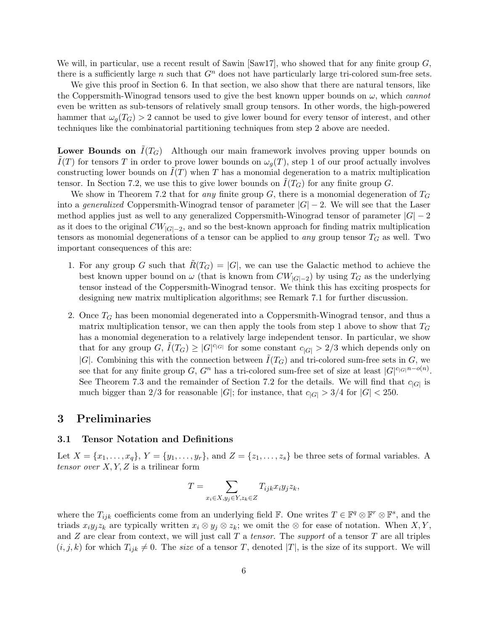We will, in particular, use a recent result of Sawin  $\text{Saw17}$ , who showed that for any finite group G, there is a sufficiently large n such that  $G<sup>n</sup>$  does not have particularly large tri-colored sum-free sets.

We give this proof in Section 6. In that section, we also show that there are natural tensors, like the Coppersmith-Winograd tensors used to give the best known upper bounds on  $\omega$ , which cannot even be written as sub-tensors of relatively small group tensors. In other words, the high-powered hammer that  $\omega_q(T_G) > 2$  cannot be used to give lower bound for every tensor of interest, and other techniques like the combinatorial partitioning techniques from step 2 above are needed.

**Lower Bounds on**  $I(T_G)$  Although our main framework involves proving upper bounds on  $\overline{I}(T)$  for tensors T in order to prove lower bounds on  $\omega_q(T)$ , step 1 of our proof actually involves constructing lower bounds on  $I(T)$  when T has a monomial degeneration to a matrix multiplication tensor. In Section 7.2, we use this to give lower bounds on  $\tilde{I}(T_G)$  for any finite group G.

We show in Theorem 7.2 that for any finite group G, there is a monomial degeneration of  $T_G$ into a generalized Coppersmith-Winograd tensor of parameter  $|G| - 2$ . We will see that the Laser method applies just as well to any generalized Coppersmith-Winograd tensor of parameter  $|G| - 2$ as it does to the original  $CW_{|G|-2}$ , and so the best-known approach for finding matrix multiplication tensors as monomial degenerations of a tensor can be applied to *any* group tensor  $T_G$  as well. Two important consequences of this are:

- 1. For any group G such that  $R(T_G) = |G|$ , we can use the Galactic method to achieve the best known upper bound on  $\omega$  (that is known from  $CW_{|G|-2}$ ) by using  $T_G$  as the underlying tensor instead of the Coppersmith-Winograd tensor. We think this has exciting prospects for designing new matrix multiplication algorithms; see Remark 7.1 for further discussion.
- 2. Once  $T_G$  has been monomial degenerated into a Coppersmith-Winograd tensor, and thus a matrix multiplication tensor, we can then apply the tools from step 1 above to show that  $T_G$ has a monomial degeneration to a relatively large independent tensor. In particular, we show that for any group  $G, \tilde{I}(T_G) \geq |G|^{c_{|G|}}$  for some constant  $c_{|G|} > 2/3$  which depends only on |G|. Combining this with the connection between  $I(T_G)$  and tri-colored sum-free sets in G, we see that for any finite group  $G, G^n$  has a tri-colored sum-free set of size at least  $|G|^{c_{|G|}}^{n-o(n)}$ . See Theorem 7.3 and the remainder of Section 7.2 for the details. We will find that  $c_{|G|}$  is much bigger than 2/3 for reasonable  $|G|$ ; for instance, that  $c_{|G|} > 3/4$  for  $|G| < 250$ .

### 3 Preliminaries

#### 3.1 Tensor Notation and Definitions

Let  $X = \{x_1, \ldots, x_q\}, Y = \{y_1, \ldots, y_r\},$  and  $Z = \{z_1, \ldots, z_s\}$  be three sets of formal variables. A tensor over  $X, Y, Z$  is a trilinear form

$$
T = \sum_{x_i \in X, y_j \in Y, z_k \in Z} T_{ijk} x_i y_j z_k,
$$

where the  $T_{ijk}$  coefficients come from an underlying field **F**. One writes  $T \in \mathbb{F}^q \otimes \mathbb{F}^r \otimes \mathbb{F}^s$ , and the triads  $x_iy_jz_k$  are typically written  $x_i \otimes y_j \otimes z_k$ ; we omit the  $\otimes$  for ease of notation. When  $X, Y$ , and  $Z$  are clear from context, we will just call  $T$  a tensor. The support of a tensor  $T$  are all triples  $(i, j, k)$  for which  $T_{ijk} \neq 0$ . The *size* of a tensor T, denoted  $|T|$ , is the size of its support. We will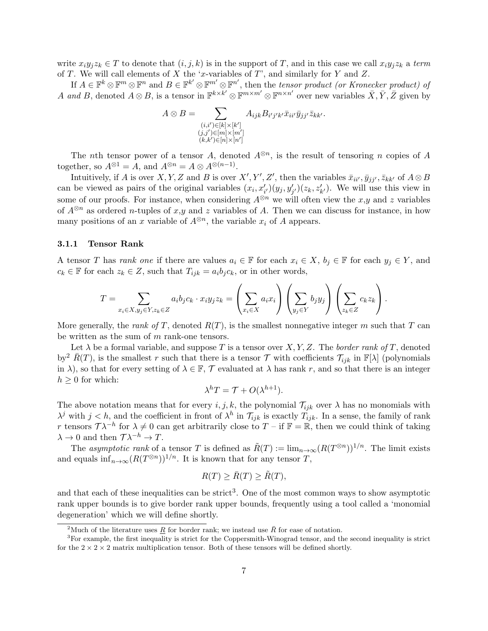write  $x_iy_iz_k \in T$  to denote that  $(i, j, k)$  is in the support of T, and in this case we call  $x_iy_iz_k$  a term of T. We will call elements of X the 'x-variables of  $T$ ', and similarly for Y and Z.

If  $A \in \mathbb{F}^k \otimes \mathbb{F}^m \otimes \mathbb{F}^n$  and  $B \in \mathbb{F}^{k'} \otimes \mathbb{F}^{m'}$ , then the tensor product (or Kronecker product) of A and B, denoted  $A \otimes B$ , is a tensor in  $\mathbb{F}^{k \times k'} \otimes \mathbb{F}^{m \times m'}$   $\otimes \mathbb{F}^{n \times n'}$  over new variables  $\overline{X}, \overline{Y}, \overline{Z}$  given by

$$
A \otimes B = \sum_{\substack{(i,i') \in [k] \times [k'] \\ (j,j') \in [m] \times [m']} \\ (k,k') \in [n] \times [n']} A_{ijk} B_{i'j'k'} \bar{x}_{ii'} \bar{y}_{jj'} \bar{z}_{kk'}.
$$

The nth tensor power of a tensor A, denoted  $A^{\otimes n}$ , is the result of tensoring n copies of A together, so  $A^{\otimes 1} = A$ , and  $A^{\otimes n} = A \otimes A^{\otimes (n-1)}$ .

Intuitively, if A is over X, Y, Z and B is over  $X', Y', Z'$ , then the variables  $\bar{x}_{ii'}, \bar{y}_{jj'}, \bar{z}_{kk'}$  of  $A \otimes B$ can be viewed as pairs of the original variables  $(x_i, x'_{i})(y_j, y'_{j})(z_k, z'_{k'})$ . We will use this view in some of our proofs. For instance, when considering  $A^{\otimes n}$  we will often view the x,y and z variables of  $A^{\otimes n}$  as ordered *n*-tuples of x,y and z variables of A. Then we can discuss for instance, in how many positions of an x variable of  $A^{\otimes n}$ , the variable  $x_i$  of A appears.

#### 3.1.1 Tensor Rank

A tensor T has rank one if there are values  $a_i \in \mathbb{F}$  for each  $x_i \in X$ ,  $b_j \in \mathbb{F}$  for each  $y_j \in Y$ , and  $c_k \in \mathbb{F}$  for each  $z_k \in Z$ , such that  $T_{ijk} = a_i b_j c_k$ , or in other words,

$$
T = \sum_{x_i \in X, y_j \in Y, z_k \in Z} a_i b_j c_k \cdot x_i y_j z_k = \left(\sum_{x_i \in X} a_i x_i\right) \left(\sum_{y_j \in Y} b_j y_j\right) \left(\sum_{z_k \in Z} c_k z_k\right).
$$

More generally, the *rank of T*, denoted  $R(T)$ , is the smallest nonnegative integer m such that T can be written as the sum of m rank-one tensors.

Let  $\lambda$  be a formal variable, and suppose T is a tensor over X, Y, Z. The border rank of T, denoted by<sup>2</sup>  $\bar{R}(T)$ , is the smallest r such that there is a tensor T with coefficients  $\mathcal{T}_{ijk}$  in  $\mathbb{F}[\lambda]$  (polynomials in  $\lambda$ ), so that for every setting of  $\lambda \in \mathbb{F}$ ,  $\mathcal{T}$  evaluated at  $\lambda$  has rank r, and so that there is an integer  $h \geq 0$  for which:

$$
\lambda^h T = \mathcal{T} + O(\lambda^{h+1}).
$$

The above notation means that for every  $i, j, k$ , the polynomial  $\mathcal{T}_{ijk}$  over  $\lambda$  has no monomials with  $\lambda^j$  with  $j < h$ , and the coefficient in front of  $\lambda^h$  in  $\mathcal{T}_{ijk}$  is exactly  $T_{ijk}$ . In a sense, the family of rank r tensors  $T\lambda^{-h}$  for  $\lambda \neq 0$  can get arbitrarily close to  $T - \text{if } \mathbb{F} = \mathbb{R}$ , then we could think of taking  $\lambda \to 0$  and then  $\mathcal{T} \lambda^{-h} \to T$ .

The asymptotic rank of a tensor T is defined as  $\tilde{R}(T) := \lim_{n \to \infty} (R(T^{\otimes n}))^{1/n}$ . The limit exists and equals  $\inf_{n\to\infty} (R(T^{\otimes n}))^{1/n}$ . It is known that for any tensor T,

$$
R(T) \ge \bar{R}(T) \ge \tilde{R}(T),
$$

and that each of these inequalities can be strict<sup>3</sup>. One of the most common ways to show asymptotic rank upper bounds is to give border rank upper bounds, frequently using a tool called a 'monomial degeneration' which we will define shortly.

<sup>&</sup>lt;sup>2</sup>Much of the literature uses <u>R</u> for border rank; we instead use  $\bar{R}$  for ease of notation.

<sup>&</sup>lt;sup>3</sup>For example, the first inequality is strict for the Coppersmith-Winograd tensor, and the second inequality is strict for the  $2 \times 2 \times 2$  matrix multiplication tensor. Both of these tensors will be defined shortly.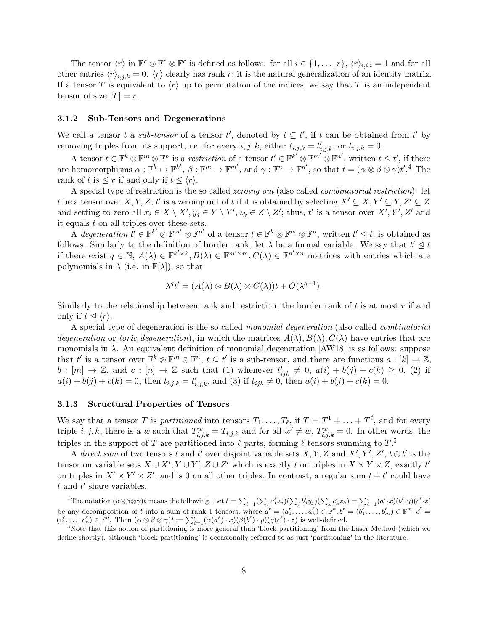The tensor  $\langle r \rangle$  in  $\mathbb{F}^r \otimes \mathbb{F}^r$  is defined as follows: for all  $i \in \{1, \ldots, r\}$ ,  $\langle r \rangle_{i,i,i} = 1$  and for all other entries  $\langle r \rangle_{i,j,k} = 0$ .  $\langle r \rangle$  clearly has rank r; it is the natural generalization of an identity matrix. If a tensor T is equivalent to  $\langle r \rangle$  up to permutation of the indices, we say that T is an independent tensor of size  $|T| = r$ .

### 3.1.2 Sub-Tensors and Degenerations

We call a tensor t a sub-tensor of a tensor t', denoted by  $t \subseteq t'$ , if t can be obtained from t' by removing triples from its support, i.e. for every  $i, j, k$ , either  $t_{i,j,k} = t'_{i,j,k}$ , or  $t_{i,j,k} = 0$ .

A tensor  $t \in \mathbb{F}^k \otimes \mathbb{F}^m \otimes \mathbb{F}^n$  is a restriction of a tensor  $t' \in \mathbb{F}^{k'} \otimes \mathbb{F}^{m'} \otimes \mathbb{F}^{n'}$ , written  $t \leq t'$ , if there are homomorphisms  $\alpha: \mathbb{F}^k \mapsto \mathbb{F}^{k'}, \beta: \mathbb{F}^m \mapsto \mathbb{F}^{m'}$ , and  $\gamma: \mathbb{F}^n \mapsto \mathbb{F}^{n'}$ , so that  $t = (\alpha \otimes \beta \otimes \gamma)t'.^4$  The rank of t is  $\leq r$  if and only if  $t \leq \langle r \rangle$ .

A special type of restriction is the so called *zeroing out* (also called *combinatorial restriction*): let t be a tensor over X, Y, Z; t' is a zeroing out of t if it is obtained by selecting  $X' \subseteq X, Y' \subseteq Y, Z' \subseteq Z$ and setting to zero all  $x_i \in X \setminus X'$ ,  $y_j \in Y \setminus Y'$ ,  $z_k \in Z \setminus Z'$ ; thus, t' is a tensor over  $X', Y', Z'$  and it equals  $t$  on all triples over these sets.

A degeneration  $t' \in \mathbb{F}^{k'} \otimes \mathbb{F}^{m'} \otimes \mathbb{F}^{n'}$  of a tensor  $t \in \mathbb{F}^{k} \otimes \mathbb{F}^{m} \otimes \mathbb{F}^{n}$ , written  $t' \leq t$ , is obtained as follows. Similarly to the definition of border rank, let  $\lambda$  be a formal variable. We say that  $t' \leq t$ if there exist  $q \in \mathbb{N}$ ,  $A(\lambda) \in \mathbb{F}^{k' \times k}$ ,  $B(\lambda) \in \mathbb{F}^{m' \times m}$ ,  $C(\lambda) \in \mathbb{F}^{n' \times n}$  matrices with entries which are polynomials in  $\lambda$  (i.e. in  $\mathbb{F}[\lambda]$ ), so that

$$
\lambda^{q} t' = (A(\lambda) \otimes B(\lambda) \otimes C(\lambda)) t + O(\lambda^{q+1}).
$$

Similarly to the relationship between rank and restriction, the border rank of  $t$  is at most  $r$  if and only if  $t \leq \langle r \rangle$ .

A special type of degeneration is the so called monomial degeneration (also called combinatorial degeneration or toric degeneration), in which the matrices  $A(\lambda), B(\lambda), C(\lambda)$  have entries that are monomials in  $\lambda$ . An equivalent definition of monomial degeneration [AW18] is as follows: suppose that t' is a tensor over  $\mathbb{F}^k \otimes \mathbb{F}^m \otimes \mathbb{F}^n$ ,  $t \subseteq t'$  is a sub-tensor, and there are functions  $a : [k] \to \mathbb{Z}$ ,  $b: [m] \to \mathbb{Z}$ , and  $c: [n] \to \mathbb{Z}$  such that (1) whenever  $t'_{ijk} \neq 0$ ,  $a(i) + b(j) + c(k) \geq 0$ , (2) if  $a(i) + b(j) + c(k) = 0$ , then  $t_{i,j,k} = t'_{i,j,k}$ , and (3) if  $t_{ijk} \neq 0$ , then  $a(i) + b(j) + c(k) = 0$ .

#### 3.1.3 Structural Properties of Tensors

We say that a tensor T is *partitioned* into tensors  $T_1, \ldots, T_\ell$ , if  $T = T^1 + \ldots + T^\ell$ , and for every triple  $i, j, k$ , there is a w such that  $T_{i,j,k}^w = T_{i,j,k}$  and for all  $w' \neq w$ ,  $T_{i,j,k}^w = 0$ . In other words, the triples in the support of T are partitioned into  $\ell$  parts, forming  $\ell$  tensors summing to  $T$ .<sup>5</sup>

A direct sum of two tensors t and t' over disjoint variable sets  $X, Y, Z$  and  $X', Y', Z', t \oplus t'$  is the tensor on variable sets  $X \cup X', Y \cup Y', Z \cup Z'$  which is exactly t on triples in  $X \times Y \times Z$ , exactly t' on triples in  $X' \times Y' \times Z'$ , and is 0 on all other triples. In contrast, a regular sum  $t + t'$  could have  $t$  and  $t'$  share variables.

<sup>&</sup>lt;sup>4</sup>The notation  $(\alpha \otimes \beta \otimes \gamma)t$  means the following. Let  $t = \sum_{\ell=1}^r (\sum_i a_i^{\ell} x_i)(\sum_j b_j^{\ell} y_j)(\sum_k c_k^{\ell} z_k) = \sum_{\ell=1}^r (a^{\ell} \cdot x)(b^{\ell} \cdot y)(c^{\ell} \cdot z)$ be any decomposition of t into a sum of rank 1 tensors, where  $a^{\ell} = (a_1^{\ell}, \ldots, a_k^{\ell}) \in \mathbb{F}^k, b^{\ell} = (b_1^{\ell}, \ldots, b_m^{\ell}) \in \mathbb{F}^m, c^{\ell} =$  $(c_1^{\ell},...,c_n^{\ell}) \in \mathbb{F}^n$ . Then  $(\alpha \otimes \beta \otimes \gamma)t := \sum_{\ell=1}^r (\alpha(a^{\ell}) \cdot x) (\beta(b^{\ell}) \cdot y) (\gamma(c^{\ell}) \cdot z)$  is well-defined.

<sup>&</sup>lt;sup>5</sup>Note that this notion of partitioning is more general than 'block partitioning' from the Laser Method (which we define shortly), although 'block partitioning' is occasionally referred to as just 'partitioning' in the literature.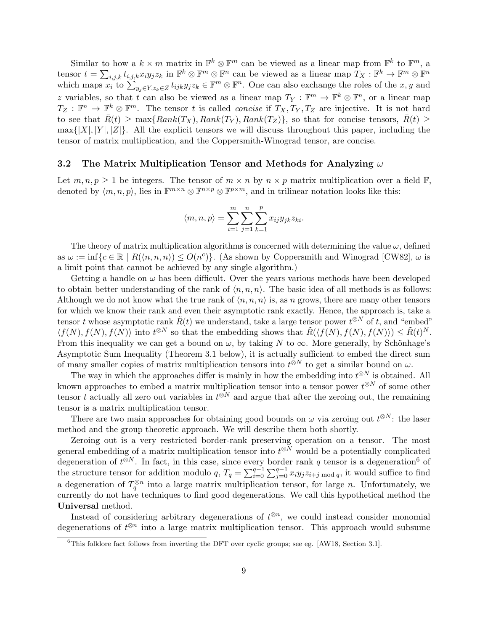Similar to how a  $k \times m$  matrix in  $\mathbb{F}^k \otimes \mathbb{F}^m$  can be viewed as a linear map from  $\mathbb{F}^k$  to  $\mathbb{F}^m$ , a tensor  $t = \sum_{i,j,k} t_{i,j,k} x_i y_j z_k$  in  $\mathbb{F}^k \otimes \mathbb{F}^m \otimes \mathbb{F}^n$  can be viewed as a linear map  $T_X : \mathbb{F}^k \to \mathbb{F}^m \otimes \mathbb{F}^n$ which maps  $x_i$  to  $\sum_{y_j \in Y, z_k \in Z} t_{ijk} y_j z_k \in \mathbb{F}^m \otimes \mathbb{F}^n$ . One can also exchange the roles of the  $x, y$  and z variables, so that t can also be viewed as a linear map  $T_Y : \mathbb{F}^m \to \mathbb{F}^k \otimes \mathbb{F}^n$ , or a linear map  $T_Z : \mathbb{F}^n \to \mathbb{F}^k \otimes \mathbb{F}^m$ . The tensor t is called *concise* if  $T_X, T_Y, T_Z$  are injective. It is not hard to see that  $\bar{R}(t) \ge \max\{Rank(T_X), Rank(T_Y), Rank(T_Z)\}\$ , so that for concise tensors,  $\bar{R}(t) \ge$  $\max\{|X|, |Y|, |Z|\}.$  All the explicit tensors we will discuss throughout this paper, including the tensor of matrix multiplication, and the Coppersmith-Winograd tensor, are concise.

### 3.2 The Matrix Multiplication Tensor and Methods for Analyzing  $\omega$

Let  $m, n, p \geq 1$  be integers. The tensor of  $m \times n$  by  $n \times p$  matrix multiplication over a field  $\mathbb{F}$ , denoted by  $\langle m, n, p \rangle$ , lies in  $\mathbb{F}^{m \times n} \otimes \mathbb{F}^{n \times p} \otimes \mathbb{F}^{p \times m}$ , and in trilinear notation looks like this:

$$
\langle m, n, p \rangle = \sum_{i=1}^{m} \sum_{j=1}^{n} \sum_{k=1}^{p} x_{ij} y_{jk} z_{ki}.
$$

The theory of matrix multiplication algorithms is concerned with determining the value  $\omega$ , defined as  $\omega := \inf\{c \in \mathbb{R} \mid R(\langle n, n, n \rangle) \le O(n^c)\}\.$  (As shown by Coppersmith and Winograd [CW82],  $\omega$  is a limit point that cannot be achieved by any single algorithm.)

Getting a handle on  $\omega$  has been difficult. Over the years various methods have been developed to obtain better understanding of the rank of  $\langle n, n, n \rangle$ . The basic idea of all methods is as follows: Although we do not know what the true rank of  $\langle n, n, n \rangle$  is, as n grows, there are many other tensors for which we know their rank and even their asymptotic rank exactly. Hence, the approach is, take a tensor t whose asymptotic rank  $\tilde{R}(t)$  we understand, take a large tensor power  $t^{\otimes N}$  of t, and "embed"  $\langle f(N), f(N), f(N) \rangle$  into  $t^{\otimes N}$  so that the embedding shows that  $\tilde{R}(\langle f(N), f(N), f(N) \rangle) \leq \tilde{R}(t)^N$ . From this inequality we can get a bound on  $\omega$ , by taking N to  $\infty$ . More generally, by Schönhage's Asymptotic Sum Inequality (Theorem 3.1 below), it is actually sufficient to embed the direct sum of many smaller copies of matrix multiplication tensors into  $t^{\otimes N}$  to get a similar bound on  $\omega$ .

The way in which the approaches differ is mainly in how the embedding into  $t^{\otimes N}$  is obtained. All known approaches to embed a matrix multiplication tensor into a tensor power  $t^{\otimes N}$  of some other tensor t actually all zero out variables in  $t^{\otimes N}$  and argue that after the zeroing out, the remaining tensor is a matrix multiplication tensor.

There are two main approaches for obtaining good bounds on  $\omega$  via zeroing out  $t^{\otimes N}$ : the laser method and the group theoretic approach. We will describe them both shortly.

Zeroing out is a very restricted border-rank preserving operation on a tensor. The most general embedding of a matrix multiplication tensor into  $t^{\otimes N}$  would be a potentially complicated degeneration of  $t^{\otimes N}$ . In fact, in this case, since every border rank q tensor is a degeneration<sup>6</sup> of the structure tensor for addition modulo  $q$ ,  $T_q = \sum_{i=0}^{q-1} \sum_{j=0}^{q-1} x_i y_j z_{i+j \bmod q}$ , it would suffice to find a degeneration of  $T_q^{\otimes n}$  into a large matrix multiplication tensor, for large n. Unfortunately, we currently do not have techniques to find good degenerations. We call this hypothetical method the Universal method.

Instead of considering arbitrary degenerations of  $t^{\otimes n}$ , we could instead consider monomial degenerations of  $t^{\otimes n}$  into a large matrix multiplication tensor. This approach would subsume

 $6$ This folklore fact follows from inverting the DFT over cyclic groups; see eg. [AW18, Section 3.1].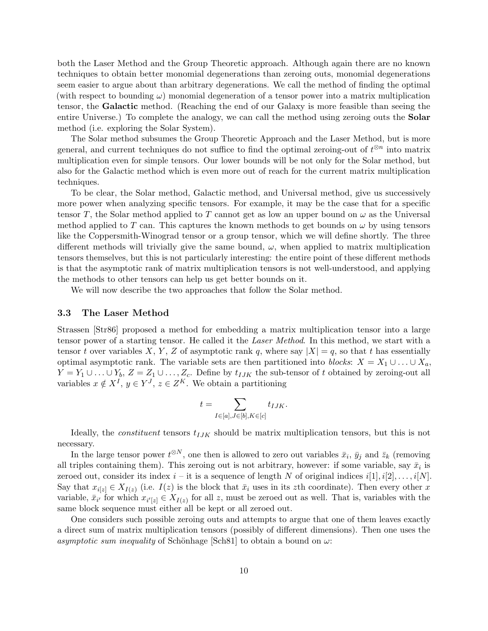both the Laser Method and the Group Theoretic approach. Although again there are no known techniques to obtain better monomial degenerations than zeroing outs, monomial degenerations seem easier to argue about than arbitrary degenerations. We call the method of finding the optimal (with respect to bounding  $\omega$ ) monomial degeneration of a tensor power into a matrix multiplication tensor, the Galactic method. (Reaching the end of our Galaxy is more feasible than seeing the entire Universe.) To complete the analogy, we can call the method using zeroing outs the **Solar** method (i.e. exploring the Solar System).

The Solar method subsumes the Group Theoretic Approach and the Laser Method, but is more general, and current techniques do not suffice to find the optimal zeroing-out of  $t^{\otimes n}$  into matrix multiplication even for simple tensors. Our lower bounds will be not only for the Solar method, but also for the Galactic method which is even more out of reach for the current matrix multiplication techniques.

To be clear, the Solar method, Galactic method, and Universal method, give us successively more power when analyzing specific tensors. For example, it may be the case that for a specific tensor T, the Solar method applied to T cannot get as low an upper bound on  $\omega$  as the Universal method applied to T can. This captures the known methods to get bounds on  $\omega$  by using tensors like the Coppersmith-Winograd tensor or a group tensor, which we will define shortly. The three different methods will trivially give the same bound,  $\omega$ , when applied to matrix multiplication tensors themselves, but this is not particularly interesting: the entire point of these different methods is that the asymptotic rank of matrix multiplication tensors is not well-understood, and applying the methods to other tensors can help us get better bounds on it.

We will now describe the two approaches that follow the Solar method.

#### 3.3 The Laser Method

Strassen [Str86] proposed a method for embedding a matrix multiplication tensor into a large tensor power of a starting tensor. He called it the Laser Method. In this method, we start with a tensor t over variables X, Y, Z of asymptotic rank q, where say  $|X| = q$ , so that t has essentially optimal asymptotic rank. The variable sets are then partitioned into blocks:  $X = X_1 \cup ... \cup X_a$ ,  $Y = Y_1 \cup \ldots \cup Y_b$ ,  $Z = Z_1 \cup \ldots, Z_c$ . Define by  $t_{IJK}$  the sub-tensor of t obtained by zeroing-out all variables  $x \notin X^I$ ,  $y \in Y^J$ ,  $z \in Z^K$ . We obtain a partitioning

$$
t = \sum_{I \in [a], J \in [b], K \in [c]} t_{IJK}.
$$

Ideally, the *constituent* tensors  $t_{IJK}$  should be matrix multiplication tensors, but this is not necessary.

In the large tensor power  $t^{\otimes N}$ , one then is allowed to zero out variables  $\bar{x}_i$ ,  $\bar{y}_j$  and  $\bar{z}_k$  (removing all triples containing them). This zeroing out is not arbitrary, however: if some variable, say  $\bar{x}_i$  is zeroed out, consider its index  $i - it$  is a sequence of length N of original indices  $i[1], i[2], \ldots, i[N]$ . Say that  $x_{i[z]} \in X_{I(z)}$  (i.e.  $I(z)$  is the block that  $\bar{x}_i$  uses in its zth coordinate). Then every other x variable,  $\bar{x}_{i'}$  for which  $x_{i'|z} \in X_{I(z)}$  for all z, must be zeroed out as well. That is, variables with the same block sequence must either all be kept or all zeroed out.

One considers such possible zeroing outs and attempts to argue that one of them leaves exactly a direct sum of matrix multiplication tensors (possibly of different dimensions). Then one uses the asymptotic sum inequality of Schönhage [Sch81] to obtain a bound on  $\omega$ :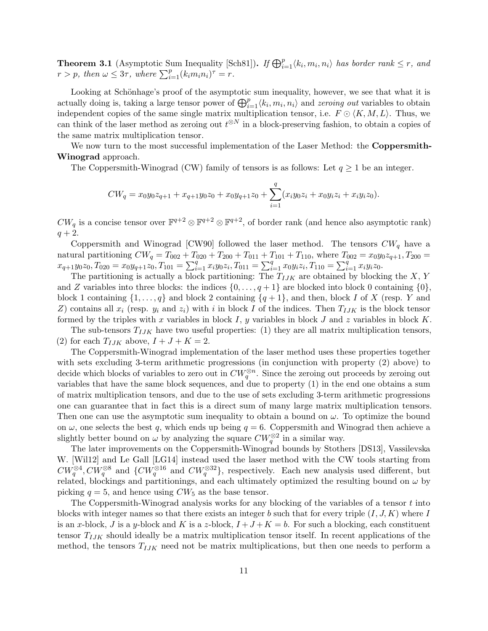**Theorem 3.1** (Asymptotic Sum Inequality [Sch81]). If  $\bigoplus_{i=1}^p \langle k_i, m_i, n_i \rangle$  has border rank  $\leq r$ , and  $r > p$ , then  $\omega \leq 3\tau$ , where  $\sum_{i=1}^{p} (k_i m_i n_i)^{\tau} = r$ .

Looking at Schönhage's proof of the asymptotic sum inequality, however, we see that what it is actually doing is, taking a large tensor power of  $\bigoplus_{i=1}^p \langle k_i, m_i, n_i \rangle$  and *zeroing out* variables to obtain independent copies of the same single matrix multiplication tensor, i.e.  $F \nO \langle K, M, L \rangle$ . Thus, we can think of the laser method as zeroing out  $t^{\otimes N}$  in a block-preserving fashion, to obtain a copies of the same matrix multiplication tensor.

We now turn to the most successful implementation of the Laser Method: the **Coppersmith-**Winograd approach.

The Coppersmith-Winograd (CW) family of tensors is as follows: Let  $q \ge 1$  be an integer.

$$
CW_q = x_0 y_0 z_{q+1} + x_{q+1} y_0 z_0 + x_0 y_{q+1} z_0 + \sum_{i=1}^q (x_i y_0 z_i + x_0 y_i z_i + x_i y_i z_0).
$$

 $CW_q$  is a concise tensor over  $\mathbb{F}^{q+2} \otimes \mathbb{F}^{q+2} \otimes \mathbb{F}^{q+2}$ , of border rank (and hence also asymptotic rank)  $q + 2.$ 

Coppersmith and Winograd  $\text{[CW90]}$  followed the laser method. The tensors  $CW_q$  have a natural partitioning  $CW_q = T_{002} + T_{020} + T_{200} + T_{011} + T_{101} + T_{110}$ , where  $T_{002} = x_0 y_0 z_{q+1}$ ,  $T_{200} =$  $x_{q+1}y_0z_0, T_{020} = x_0y_{q+1}z_0, T_{101} = \sum_{i=1}^q x_iy_0z_i, T_{011} = \sum_{i=1}^q x_0y_iz_i, T_{110} = \sum_{i=1}^q x_iy_iz_0.$ 

The partitioning is actually a block partitioning: The  $T_{IJK}$  are obtained by blocking the X, Y and Z variables into three blocks: the indices  $\{0,\ldots,q+1\}$  are blocked into block 0 containing  $\{0\}$ , block 1 containing  $\{1, \ldots, q\}$  and block 2 containing  $\{q+1\}$ , and then, block I of X (resp. Y and Z) contains all  $x_i$  (resp.  $y_i$  and  $z_i$ ) with i in block I of the indices. Then  $T_{IJK}$  is the block tensor formed by the triples with x variables in block  $I$ , y variables in block  $J$  and  $z$  variables in block  $K$ .

The sub-tensors  $T_{IJK}$  have two useful properties: (1) they are all matrix multiplication tensors, (2) for each  $T_{IJK}$  above,  $I + J + K = 2$ .

The Coppersmith-Winograd implementation of the laser method uses these properties together with sets excluding 3-term arithmetic progressions (in conjunction with property (2) above) to decide which blocks of variables to zero out in  $CW_q^{\otimes n}$ . Since the zeroing out proceeds by zeroing out variables that have the same block sequences, and due to property (1) in the end one obtains a sum of matrix multiplication tensors, and due to the use of sets excluding 3-term arithmetic progressions one can guarantee that in fact this is a direct sum of many large matrix multiplication tensors. Then one can use the asymptotic sum inequality to obtain a bound on  $\omega$ . To optimize the bound on  $\omega$ , one selects the best q, which ends up being  $q = 6$ . Coppersmith and Winograd then achieve a slightly better bound on  $\omega$  by analyzing the square  $CW_q^{\otimes 2}$  in a similar way.

The later improvements on the Coppersmith-Winograd bounds by Stothers [DS13], Vassilevska W. [Wil12] and Le Gall [LG14] instead used the laser method with the CW tools starting from  $CW_q^{\otimes 4}, CW_q^{\otimes 8}$  and  $\{CW_q^{\otimes 16} \text{ and } CW_q^{\otimes 32}\},$  respectively. Each new analysis used different, but related, blockings and partitionings, and each ultimately optimized the resulting bound on  $\omega$  by picking  $q = 5$ , and hence using  $CW_5$  as the base tensor.

The Coppersmith-Winograd analysis works for any blocking of the variables of a tensor  $t$  into blocks with integer names so that there exists an integer b such that for every triple  $(I, J, K)$  where I is an x-block, J is a y-block and K is a z-block,  $I + J + K = b$ . For such a blocking, each constituent tensor  $T_{IJK}$  should ideally be a matrix multiplication tensor itself. In recent applications of the method, the tensors  $T_{IJK}$  need not be matrix multiplications, but then one needs to perform a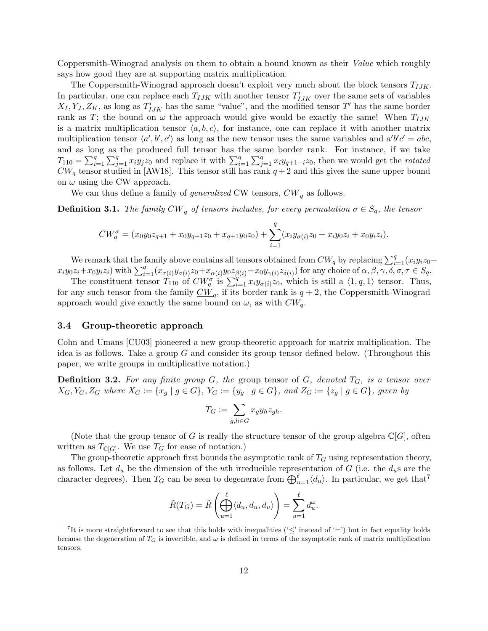Coppersmith-Winograd analysis on them to obtain a bound known as their Value which roughly says how good they are at supporting matrix multiplication.

The Coppersmith-Winograd approach doesn't exploit very much about the block tensors  $T_{IJK}$ . In particular, one can replace each  $T_{IJK}$  with another tensor  $T'_{IJK}$  over the same sets of variables  $X_I, Y_J, Z_K$ , as long as  $T'_{IJK}$  has the same "value", and the modified tensor T' has the same border rank as T; the bound on  $\omega$  the approach would give would be exactly the same! When  $T_{IJK}$ is a matrix multiplication tensor  $\langle a, b, c \rangle$ , for instance, one can replace it with another matrix multiplication tensor  $\langle a', b', c' \rangle$  as long as the new tensor uses the same variables and  $a'b'c' = abc$ , and as long as the produced full tensor has the same border rank. For instance, if we take  $T_{110} = \sum_{i=1}^{q} \sum_{j=1}^{q} x_i y_j z_0$  and replace it with  $\sum_{i=1}^{q} \sum_{j=1}^{q} x_i y_{q+1-i} z_0$ , then we would get the *rotated*  $CW_q$  tensor studied in [AW18]. This tensor still has rank  $q+2$  and this gives the same upper bound on  $\omega$  using the CW approach.

We can thus define a family of *generalized* CW tensors,  $\overline{CW}_q$  as follows.

**Definition 3.1.** The family  $\underline{CW}_q$  of tensors includes, for every permutation  $\sigma \in S_q$ , the tensor

$$
CW_q^{\sigma} = (x_0y_0z_{q+1} + x_0y_{q+1}z_0 + x_{q+1}y_0z_0) + \sum_{i=1}^q (x_iy_{\sigma(i)}z_0 + x_iy_0z_i + x_0y_iz_i).
$$

We remark that the family above contains all tensors obtained from  $CW_q$  by replacing  $\sum_{i=1}^q (x_i y_i z_0 +$  $x_iy_0z_i+x_0y_iz_i)$  with  $\sum_{i=1}^q (x_{\tau(i)}y_{\sigma(i)}z_0+x_{\alpha(i)}y_0z_{\beta(i)}+x_0y_{\gamma(i)}z_{\delta(i)})$  for any choice of  $\alpha, \beta, \gamma, \delta, \sigma, \tau \in S_q$ .

The constituent tensor  $T_{110}$  of  $CW_q^{\sigma}$  is  $\sum_{i=1}^{q} x_i y_{\sigma(i)} z_0$ , which is still a  $\langle 1, q, 1 \rangle$  tensor. Thus, for any such tensor from the family  $\overline{CW}_q$ , if its border rank is  $q + 2$ , the Coppersmith-Winograd approach would give exactly the same bound on  $\omega$ , as with  $CW_q$ .

#### 3.4 Group-theoretic approach

Cohn and Umans [CU03] pioneered a new group-theoretic approach for matrix multiplication. The idea is as follows. Take a group  $G$  and consider its group tensor defined below. (Throughout this paper, we write groups in multiplicative notation.)

**Definition 3.2.** For any finite group  $G$ , the group tensor of  $G$ , denoted  $T_G$ , is a tensor over  $X_G, Y_G, Z_G$  where  $X_G := \{x_g \mid g \in G\}$ ,  $Y_G := \{y_g \mid g \in G\}$ , and  $Z_G := \{z_g \mid g \in G\}$ , given by

$$
T_G := \sum_{g,h \in G} x_g y_h z_{gh}.
$$

(Note that the group tensor of G is really the structure tensor of the group algebra  $\mathbb{C}[G]$ , often written as  $T_{\mathbb{C}[G]}$ . We use  $T_G$  for ease of notation.)

The group-theoretic approach first bounds the asymptotic rank of  $T_G$  using representation theory, as follows. Let  $d_u$  be the dimension of the uth irreducible representation of G (i.e. the  $d_u$ s are the character degrees). Then  $T_G$  can be seen to degenerate from  $\bigoplus_{u=1}^{\ell} \langle d_u \rangle$ . In particular, we get that<sup>7</sup>

$$
\tilde{R}(T_G) = \tilde{R}\left(\bigoplus_{u=1}^{\ell} \langle d_u, d_u, d_u \rangle\right) = \sum_{u=1}^{\ell} d_u^{\omega}.
$$

<sup>&</sup>lt;sup>7</sup>It is more straightforward to see that this holds with inequalities (' $\leq$ ' instead of '=') but in fact equality holds because the degeneration of  $T_G$  is invertible, and  $\omega$  is defined in terms of the asymptotic rank of matrix multiplication tensors.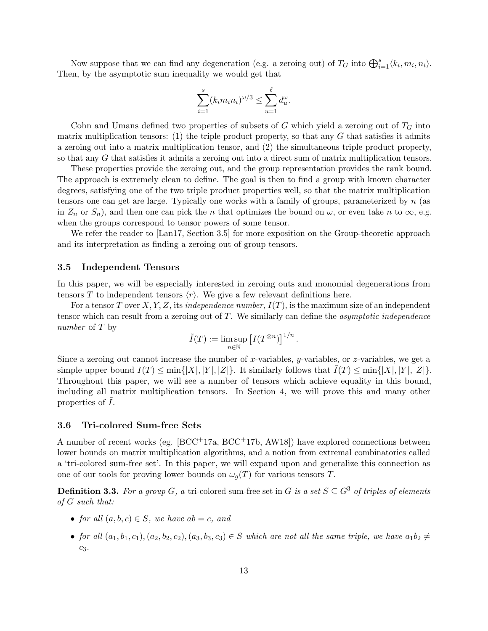Now suppose that we can find any degeneration (e.g. a zeroing out) of  $T_G$  into  $\bigoplus_{i=1}^s \langle k_i, m_i, n_i \rangle$ . Then, by the asymptotic sum inequality we would get that

$$
\sum_{i=1}^{s} (k_i m_i n_i)^{\omega/3} \le \sum_{u=1}^{\ell} d_u^{\omega}.
$$

Cohn and Umans defined two properties of subsets of  $G$  which yield a zeroing out of  $T_G$  into matrix multiplication tensors: (1) the triple product property, so that any  $G$  that satisfies it admits a zeroing out into a matrix multiplication tensor, and (2) the simultaneous triple product property, so that any G that satisfies it admits a zeroing out into a direct sum of matrix multiplication tensors.

These properties provide the zeroing out, and the group representation provides the rank bound. The approach is extremely clean to define. The goal is then to find a group with known character degrees, satisfying one of the two triple product properties well, so that the matrix multiplication tensors one can get are large. Typically one works with a family of groups, parameterized by n (as in  $Z_n$  or  $S_n$ ), and then one can pick the n that optimizes the bound on  $\omega$ , or even take n to  $\infty$ , e.g. when the groups correspond to tensor powers of some tensor.

We refer the reader to [Lan17, Section 3.5] for more exposition on the Group-theoretic approach and its interpretation as finding a zeroing out of group tensors.

### 3.5 Independent Tensors

In this paper, we will be especially interested in zeroing outs and monomial degenerations from tensors T to independent tensors  $\langle r \rangle$ . We give a few relevant definitions here.

For a tensor T over X, Y, Z, its independence number,  $I(T)$ , is the maximum size of an independent tensor which can result from a zeroing out of  $T$ . We similarly can define the *asymptotic independence* number of T by

$$
\tilde{I}(T):=\limsup_{n\in\mathbb{N}}\left[I(T^{\otimes n})\right]^{1/n}
$$

.

Since a zeroing out cannot increase the number of x-variables, y-variables, or  $z$ -variables, we get a simple upper bound  $I(T) \le \min\{|X|, |Y|, |Z|\}$ . It similarly follows that  $I(T) \le \min\{|X|, |Y|, |Z|\}$ . Throughout this paper, we will see a number of tensors which achieve equality in this bound, including all matrix multiplication tensors. In Section 4, we will prove this and many other properties of  $\overline{I}$ .

#### 3.6 Tri-colored Sum-free Sets

A number of recent works (eg. [BCC+17a, BCC+17b, AW18]) have explored connections between lower bounds on matrix multiplication algorithms, and a notion from extremal combinatorics called a 'tri-colored sum-free set'. In this paper, we will expand upon and generalize this connection as one of our tools for proving lower bounds on  $\omega_g(T)$  for various tensors T.

**Definition 3.3.** For a group G, a tri-colored sum-free set in G is a set  $S \subseteq G^3$  of triples of elements of G such that:

- for all  $(a, b, c) \in S$ , we have  $ab = c$ , and
- for all  $(a_1, b_1, c_1), (a_2, b_2, c_2), (a_3, b_3, c_3) \in S$  which are not all the same triple, we have  $a_1b_2 \neq$  $c_3$ .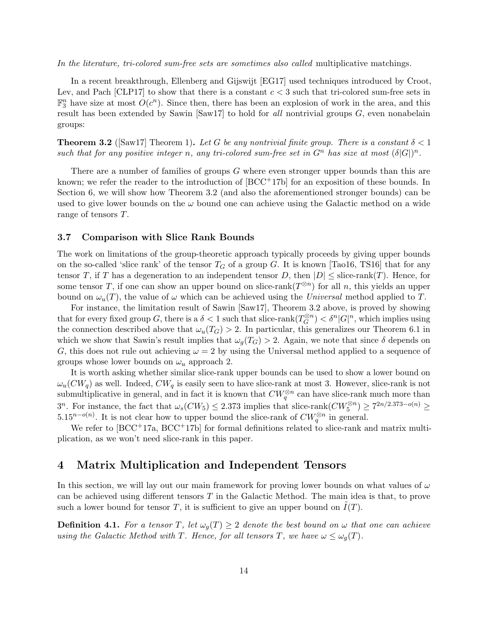In the literature, tri-colored sum-free sets are sometimes also called multiplicative matchings.

In a recent breakthrough, Ellenberg and Gijswijt [EG17] used techniques introduced by Croot, Lev, and Pach [CLP17] to show that there is a constant  $c < 3$  such that tri-colored sum-free sets in  $\mathbb{F}_3^n$  have size at most  $O(c^n)$ . Since then, there has been an explosion of work in the area, and this result has been extended by Sawin [Saw17] to hold for all nontrivial groups  $G$ , even nonabelain groups:

**Theorem 3.2** ([Saw17] Theorem 1). Let G be any nontrivial finite group. There is a constant  $\delta < 1$ such that for any positive integer n, any tri-colored sum-free set in  $G<sup>n</sup>$  has size at most  $(\delta |G|)<sup>n</sup>$ .

There are a number of families of groups G where even stronger upper bounds than this are known; we refer the reader to the introduction of  $[BCC^+17b]$  for an exposition of these bounds. In Section 6, we will show how Theorem 3.2 (and also the aforementioned stronger bounds) can be used to give lower bounds on the  $\omega$  bound one can achieve using the Galactic method on a wide range of tensors T.

### 3.7 Comparison with Slice Rank Bounds

The work on limitations of the group-theoretic approach typically proceeds by giving upper bounds on the so-called 'slice rank' of the tensor  $T_G$  of a group G. It is known [Tao16, TS16] that for any tensor T, if T has a degeneration to an independent tensor D, then  $|D| \leq$  slice-rank(T). Hence, for some tensor T, if one can show an upper bound on slice-rank $(T^{\otimes n})$  for all n, this yields an upper bound on  $\omega_u(T)$ , the value of  $\omega$  which can be achieved using the Universal method applied to T.

For instance, the limitation result of Sawin [Saw17], Theorem 3.2 above, is proved by showing that for every fixed group G, there is a  $\delta < 1$  such that slice-rank  $(T_G^{\otimes n})$  $\binom{m}{G}$  <  $\delta^n |G|^n$ , which implies using the connection described above that  $\omega_u(T_G) > 2$ . In particular, this generalizes our Theorem 6.1 in which we show that Sawin's result implies that  $\omega_q(T_G) > 2$ . Again, we note that since  $\delta$  depends on G, this does not rule out achieving  $\omega = 2$  by using the Universal method applied to a sequence of groups whose lower bounds on  $\omega_u$  approach 2.

It is worth asking whether similar slice-rank upper bounds can be used to show a lower bound on  $\omega_u(CW_q)$  as well. Indeed,  $CW_q$  is easily seen to have slice-rank at most 3. However, slice-rank is not submultiplicative in general, and in fact it is known that  $CW_q^{\otimes n}$  can have slice-rank much more than  $3^n$ . For instance, the fact that  $\omega_s(CW_5) \leq 2.373$  implies that slice-rank $(CW_5^{\otimes n}) \geq 7^{2n/2.373-o(n)} \geq$  $5.15^{n-o(n)}$ . It is not clear how to upper bound the slice-rank of  $CW_q^{\otimes n}$  in general.

We refer to  $[BCC^+17a, BCC^+17b]$  for formal definitions related to slice-rank and matrix multiplication, as we won't need slice-rank in this paper.

# 4 Matrix Multiplication and Independent Tensors

In this section, we will lay out our main framework for proving lower bounds on what values of  $\omega$ can be achieved using different tensors  $T$  in the Galactic Method. The main idea is that, to prove such a lower bound for tensor T, it is sufficient to give an upper bound on  $I(T)$ .

**Definition 4.1.** For a tensor T, let  $\omega_g(T) \geq 2$  denote the best bound on  $\omega$  that one can achieve using the Galactic Method with T. Hence, for all tensors T, we have  $\omega \leq \omega_g(T)$ .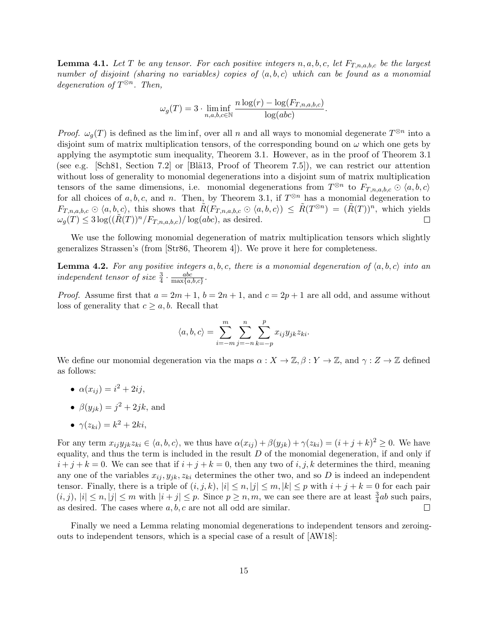**Lemma 4.1.** Let T be any tensor. For each positive integers  $n, a, b, c$ , let  $F_{T,n,a,b,c}$  be the largest number of disjoint (sharing no variables) copies of  $\langle a, b, c \rangle$  which can be found as a monomial degeneration of  $T^{\otimes n}$ . Then,

$$
\omega_g(T) = 3 \cdot \liminf_{n,a,b,c \in \mathbb{N}} \frac{n \log(r) - \log(F_{T,n,a,b,c})}{\log(abc)}.
$$

*Proof.*  $\omega_g(T)$  is defined as the liminf, over all n and all ways to monomial degenerate  $T^{\otimes n}$  into a disjoint sum of matrix multiplication tensors, of the corresponding bound on  $\omega$  which one gets by applying the asymptotic sum inequality, Theorem 3.1. However, as in the proof of Theorem 3.1 (see e.g. [Sch81, Section 7.2] or [Bl $\ddot{a}$ 13, Proof of Theorem 7.5]), we can restrict our attention without loss of generality to monomial degenerations into a disjoint sum of matrix multiplication tensors of the same dimensions, i.e. monomial degenerations from  $T^{\otimes n}$  to  $F_{T,n,a,b,c} \odot \langle a,b,c \rangle$ for all choices of  $a, b, c$ , and n. Then, by Theorem 3.1, if  $T^{\otimes n}$  has a monomial degeneration to  $F_{T,n,a,b,c} \odot \langle a,b,c \rangle$ , this shows that  $\tilde{R}(F_{T,n,a,b,c} \odot \langle a,b,c \rangle) \leq \tilde{R}(T^{\otimes n}) = (\tilde{R}(T))^n$ , which yields  $\omega_q(T) \leq 3 \log((R(T))^n/F_{T,n,a,b,c})/\log(abc)$ , as desired.  $\Box$ 

We use the following monomial degeneration of matrix multiplication tensors which slightly generalizes Strassen's (from [Str86, Theorem 4]). We prove it here for completeness.

**Lemma 4.2.** For any positive integers  $a, b, c$ , there is a monomial degeneration of  $\langle a, b, c \rangle$  into an independent tensor of size  $\frac{3}{4} \cdot \frac{abc}{\max\{a, a\}}$  $\frac{abc}{\max\{a,b,c\}}$ .

*Proof.* Assume first that  $a = 2m + 1$ ,  $b = 2n + 1$ , and  $c = 2p + 1$  are all odd, and assume without loss of generality that  $c \geq a, b$ . Recall that

$$
\langle a, b, c \rangle = \sum_{i=-m}^{m} \sum_{j=-n}^{n} \sum_{k=-p}^{p} x_{ij} y_{jk} z_{ki}.
$$

We define our monomial degeneration via the maps  $\alpha: X \to \mathbb{Z}, \beta: Y \to \mathbb{Z}$ , and  $\gamma: Z \to \mathbb{Z}$  defined as follows:

- $\alpha(x_{ij}) = i^2 + 2ij,$
- $\beta(y_{jk}) = j^2 + 2jk$ , and

$$
\bullet \ \gamma(z_{ki}) = k^2 + 2ki,
$$

For any term  $x_{ij}y_{jk}z_{ki} \in \langle a, b, c \rangle$ , we thus have  $\alpha(x_{ij}) + \beta(y_{jk}) + \gamma(z_{ki}) = (i+j+k)^2 \geq 0$ . We have equality, and thus the term is included in the result  $D$  of the monomial degeneration, if and only if  $i + j + k = 0$ . We can see that if  $i + j + k = 0$ , then any two of i, j, k determines the third, meaning any one of the variables  $x_{ij}$ ,  $y_{jk}$ ,  $z_{ki}$  determines the other two, and so D is indeed an independent tensor. Finally, there is a triple of  $(i, j, k)$ ,  $|i| \leq n, |j| \leq m, |k| \leq p$  with  $i + j + k = 0$  for each pair  $(i, j), |i| \leq n, |j| \leq m$  with  $|i + j| \leq p$ . Since  $p \geq n, m$ , we can see there are at least  $\frac{3}{4}ab$  such pairs, as desired. The cases where  $a, b, c$  are not all odd are similar.  $\Box$ 

Finally we need a Lemma relating monomial degenerations to independent tensors and zeroingouts to independent tensors, which is a special case of a result of [AW18]: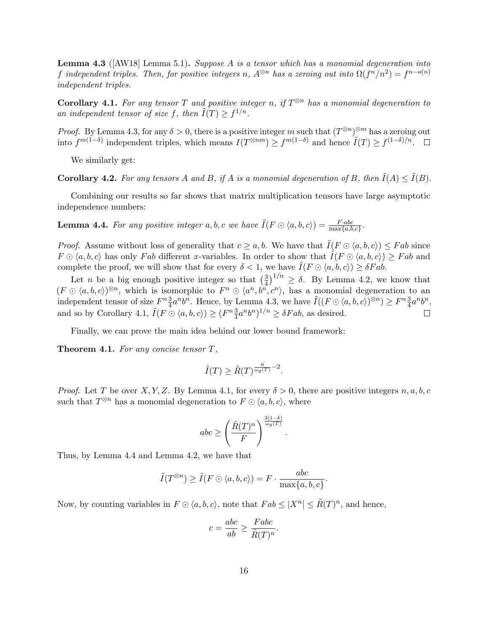**Lemma 4.3** ( $[MW18]$  Lemma 5.1). Suppose A is a tensor which has a monomial degeneration into f independent triples. Then, for positive integers n,  $A^{\otimes n}$  has a zeroing out into  $\Omega(f^n/n^2) = f^{n - o(n)}$ independent triples.

**Corollary 4.1.** For any tensor T and positive integer n, if  $T^{\otimes n}$  has a monomial degeneration to an independent tensor of size f, then  $\tilde{I}(T) \geq f^{1/n}$ .

*Proof.* By Lemma 4.3, for any  $\delta > 0$ , there is a positive integer m such that  $(T^{\otimes n})^{\otimes m}$  has a zeroing out into  $f^{m(1-\delta)}$  independent triples, which means  $I(T^{\otimes nm}) \ge f^{m(1-\delta)}$  and hence  $\tilde{I}(T) \ge f^{(1-\delta)/n}$ .

We similarly get:

**Corollary 4.2.** For any tensors A and B, if A is a monomial degeneration of B, then  $\tilde{I}(A) \leq \tilde{I}(B)$ .

Combining our results so far shows that matrix multiplication tensors have large asymptotic independence numbers:

**Lemma 4.4.** For any positive integer a, b, c we have  $\tilde{I}(F \odot \langle a, b, c \rangle) = \frac{F \cdot abc}{\max\{a, b, c\}}$ .

*Proof.* Assume without loss of generality that  $c \geq a, b$ . We have that  $\tilde{I}(F \odot \langle a, b, c \rangle) \leq Fab$  since  $F \odot \langle a, b, c \rangle$  has only Fab different x-variables. In order to show that  $\tilde{I}(F \odot \langle a, b, c \rangle) \geq Fab$  and complete the proof, we will show that for every  $\delta < 1$ , we have  $\tilde{I}(F \odot \langle a, b, c \rangle) \geq \delta F a b$ .

Let *n* be a big enough positive integer so that  $\left(\frac{3}{4}\right)^{1/n} \ge \delta$ . By Lemma 4.2, we know that Let *n* be a big enough positive integer so that  $\overline{p}$   $\geq$  0. By Lemma 4.2, we know that  $(F \odot \langle a, b, c \rangle)^{\otimes n}$ , which is isomorphic to  $F^n \odot \langle a^n, b^n, c^n \rangle$ , has a monomial degeneration to an independent tensor of size  $F^n \frac{3}{4} a^n b^n$ . Hence, by Lemma 4.3, we have  $\tilde{I}((F \odot \langle a, b, c \rangle)^{\otimes n}) \geq F^n \frac{3}{4} a^n b^n$ , and so by Corollary 4.1,  $\tilde{I}(F \odot \langle a, b, c \rangle) \ge (F^n \frac{3}{4} a^n b^n)^{1/n} \ge \delta F a b$ , as desired.  $\Box$ 

Finally, we can prove the main idea behind our lower bound framework:

**Theorem 4.1.** For any concise tensor  $T$ ,

$$
\tilde{I}(T) \ge \tilde{R}(T)^{\frac{6}{\omega_g(T)} - 2}.
$$

*Proof.* Let T be over X, Y, Z. By Lemma 4.1, for every  $\delta > 0$ , there are positive integers n, a, b, c such that  $T^{\otimes n}$  has a monomial degeneration to  $F \odot \langle a, b, c \rangle$ , where

$$
abc \ge \left(\frac{\tilde{R}(T)^n}{F}\right)^{\frac{3(1-\delta)}{\omega_g(T)}}
$$

.

Thus, by Lemma 4.4 and Lemma 4.2, we have that

$$
\tilde{I}(T^{\otimes n}) \ge \tilde{I}(F \odot \langle a, b, c \rangle) = F \cdot \frac{abc}{\max\{a, b, c\}}.
$$

Now, by counting variables in  $F \odot \langle a, b, c \rangle$ , note that  $Fab \leq |X^n| \leq \tilde{R}(T)^n$ , and hence,

$$
c = \frac{abc}{ab} \ge \frac{Fabc}{\tilde{R}(T)^n}.
$$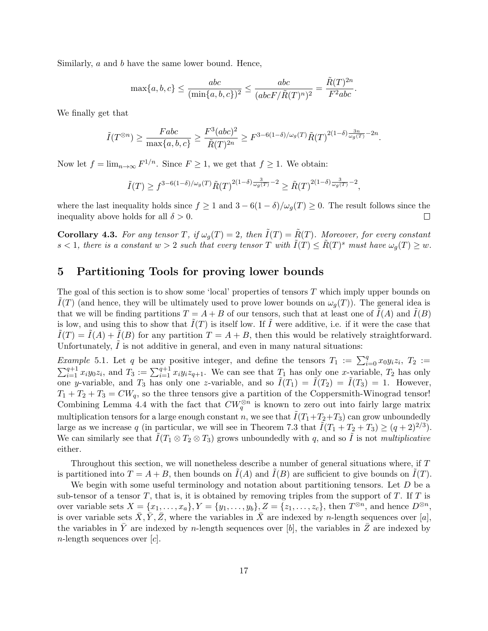Similarly, a and b have the same lower bound. Hence,

$$
\max\{a,b,c\} \le \frac{abc}{(\min\{a,b,c\})^2} \le \frac{abc}{(abcF/\tilde{R}(T)^n)^2} = \frac{\tilde{R}(T)^{2n}}{F^2abc}.
$$

We finally get that

$$
\tilde{I}(T^{\otimes n}) \ge \frac{Fabc}{\max\{a,b,c\}} \ge \frac{F^3(abc)^2}{\tilde{R}(T)^{2n}} \ge F^{3-6(1-\delta)/\omega_g(T)} \tilde{R}(T)^{2(1-\delta)\frac{3n}{\omega_g(T)}-2n}.
$$

Now let  $f = \lim_{n \to \infty} F^{1/n}$ . Since  $F \geq 1$ , we get that  $f \geq 1$ . We obtain:

$$
\tilde{I}(T) \ge f^{3-6(1-\delta)/\omega_g(T)} \tilde{R}(T)^{2(1-\delta)\frac{3}{\omega_g(T)}-2} \ge \tilde{R}(T)^{2(1-\delta)\frac{3}{\omega_g(T)}-2},
$$

where the last inequality holds since  $f \ge 1$  and  $3 - 6(1 - \delta)/\omega_q(T) \ge 0$ . The result follows since the inequality above holds for all  $\delta > 0$ .  $\Box$ 

**Corollary 4.3.** For any tensor T, if  $\omega_q(T) = 2$ , then  $\tilde{I}(T) = \tilde{R}(T)$ . Moreover, for every constant  $s < 1$ , there is a constant  $w > 2$  such that every tensor T with  $\tilde{I}(T) \leq \tilde{R}(T)^s$  must have  $\omega_g(T) \geq w$ .

# 5 Partitioning Tools for proving lower bounds

The goal of this section is to show some 'local' properties of tensors T which imply upper bounds on  $\tilde{I}(T)$  (and hence, they will be ultimately used to prove lower bounds on  $\omega_g(T)$ ). The general idea is that we will be finding partitions  $T = A + B$  of our tensors, such that at least one of  $I(A)$  and  $I(B)$ is low, and using this to show that  $\tilde{I}(T)$  is itself low. If  $\tilde{I}$  were additive, i.e. if it were the case that  $I(T) = I(A) + I(B)$  for any partition  $T = A + B$ , then this would be relatively straightforward. Unfortunately,  $I$  is not additive in general, and even in many natural situations:

*Example* 5.1. Let q be any positive integer, and define the tensors  $T_1 := \sum_{i=0}^{q} x_0 y_i z_i$ ,  $T_2 :=$  $\sum_{i=1}^{q+1} x_i y_0 z_i$ , and  $T_3 := \sum_{i=1}^{q+1} x_i y_i z_{q+1}$ . We can see that  $T_1$  has only one x-variable,  $T_2$  has only one y-variable, and  $T_3$  has only one z-variable, and so  $\tilde{I}(T_1) = \tilde{I}(T_2) = \tilde{I}(T_3) = 1$ . However,  $T_1 + T_2 + T_3 = CW_q$ , so the three tensors give a partition of the Coppersmith-Winograd tensor! Combining Lemma 4.4 with the fact that  $CW_q^{\otimes n}$  is known to zero out into fairly large matrix multiplication tensors for a large enough constant n, we see that  $\tilde{I}(T_1+T_2+T_3)$  can grow unboundedly large as we increase q (in particular, we will see in Theorem 7.3 that  $\tilde{I}(T_1 + T_2 + T_3) \ge (q+2)^{2/3}$ ). We can similarly see that  $\tilde{I}(T_1 \otimes T_2 \otimes T_3)$  grows unboundedly with q, and so  $\tilde{I}$  is not multiplicative either.

Throughout this section, we will nonetheless describe a number of general situations where, if T is partitioned into  $T = A + B$ , then bounds on  $I(A)$  and  $I(B)$  are sufficient to give bounds on  $I(T)$ .

We begin with some useful terminology and notation about partitioning tensors. Let  $D$  be a sub-tensor of a tensor  $T$ , that is, it is obtained by removing triples from the support of  $T$ . If  $T$  is over variable sets  $X = \{x_1, \ldots, x_a\}, Y = \{y_1, \ldots, y_b\}, Z = \{z_1, \ldots, z_c\},\$  then  $T^{\otimes n}$ , and hence  $D^{\otimes n}$ , is over variable sets  $\bar{X}, \bar{Y}, \bar{Z}$ , where the variables in  $\bar{X}$  are indexed by n-length sequences over [a], the variables in Y are indexed by n-length sequences over  $[b]$ , the variables in Z are indexed by  $n$ -length sequences over  $[c]$ .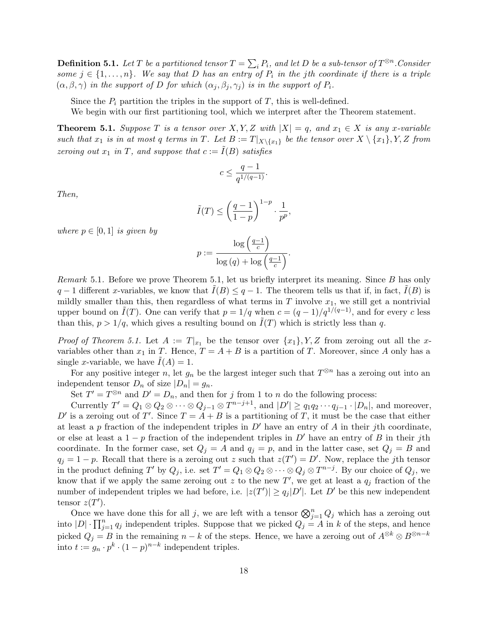**Definition 5.1.** Let T be a partitioned tensor  $T = \sum_i P_i$ , and let D be a sub-tensor of  $T^{\otimes n}$ . Consider some  $j \in \{1, \ldots, n\}$ . We say that D has an entry of  $P_i$  in the jth coordinate if there is a triple  $(\alpha, \beta, \gamma)$  in the support of D for which  $(\alpha_j, \beta_j, \gamma_j)$  is in the support of  $P_i$ .

Since the  $P_i$  partition the triples in the support of  $T$ , this is well-defined.

We begin with our first partitioning tool, which we interpret after the Theorem statement.

**Theorem 5.1.** Suppose T is a tensor over X, Y, Z with  $|X| = q$ , and  $x_1 \in X$  is any x-variable such that  $x_1$  is in at most q terms in T. Let  $B := T|_{X \setminus \{x_1\}}$  be the tensor over  $X \setminus \{x_1\}, Y, Z$  from zeroing out  $x_1$  in T, and suppose that  $c := \tilde{I}(B)$  satisfies

$$
c\leq \frac{q-1}{q^{1/(q-1)}}.
$$

Then,

$$
\tilde{I}(T) \le \left(\frac{q-1}{1-p}\right)^{1-p} \cdot \frac{1}{p^p},
$$

where  $p \in [0, 1]$  is given by

$$
p := \frac{\log\left(\frac{q-1}{c}\right)}{\log\left(q\right) + \log\left(\frac{q-1}{c}\right)}.
$$

Remark 5.1. Before we prove Theorem 5.1, let us briefly interpret its meaning. Since B has only  $q-1$  different x-variables, we know that  $I(B) \leq q-1$ . The theorem tells us that if, in fact,  $I(B)$  is mildly smaller than this, then regardless of what terms in  $T$  involve  $x_1$ , we still get a nontrivial upper bound on  $\tilde{I}(T)$ . One can verify that  $p = 1/q$  when  $c = (q-1)/q^{1/(q-1)}$ , and for every c less than this,  $p > 1/q$ , which gives a resulting bound on  $I(T)$  which is strictly less than q.

*Proof of Theorem 5.1.* Let  $A := T|_{x_1}$  be the tensor over  $\{x_1\}$ , Y, Z from zeroing out all the xvariables other than  $x_1$  in T. Hence,  $T = A + B$  is a partition of T. Moreover, since A only has a single x-variable, we have  $I(A) = 1$ .

For any positive integer n, let  $g_n$  be the largest integer such that  $T^{\otimes n}$  has a zeroing out into an independent tensor  $D_n$  of size  $|D_n| = g_n$ .

Set  $T' = T^{\otimes n}$  and  $D' = D_n$ , and then for j from 1 to n do the following process:

Currently  $T' = Q_1 \otimes Q_2 \otimes \cdots \otimes Q_{j-1} \otimes T^{n-j+1}$ , and  $|D'| \ge q_1 q_2 \cdots q_{j-1} \cdot |D_n|$ , and moreover, D' is a zeroing out of T'. Since  $T = A + B$  is a partitioning of T, it must be the case that either at least a p fraction of the independent triples in  $D'$  have an entry of A in their jth coordinate, or else at least a  $1-p$  fraction of the independent triples in D' have an entry of B in their jth coordinate. In the former case, set  $Q_i = A$  and  $q_i = p$ , and in the latter case, set  $Q_i = B$  and  $q_j = 1 - p$ . Recall that there is a zeroing out z such that  $z(T') = D'$ . Now, replace the jth tensor in the product defining T' by  $Q_j$ , i.e. set  $T' = Q_1 \otimes Q_2 \otimes \cdots \otimes Q_j \otimes T^{n-j}$ . By our choice of  $Q_j$ , we know that if we apply the same zeroing out z to the new T', we get at least a  $q_j$  fraction of the number of independent triples we had before, i.e.  $|z(T')| \ge q_j |D'|$ . Let  $D'$  be this new independent tensor  $z(T')$ .

Once we have done this for all j, we are left with a tensor  $\bigotimes_{j=1}^{n} Q_j$  which has a zeroing out into  $|D| \cdot \prod_{j=1}^n q_j$  independent triples. Suppose that we picked  $Q_j = A$  in k of the steps, and hence picked  $Q_j = B$  in the remaining  $n - k$  of the steps. Hence, we have a zeroing out of  $A^{\otimes k} \otimes B^{\otimes n-k}$ into  $t := g_n \cdot p^k \cdot (1-p)^{n-k}$  independent triples.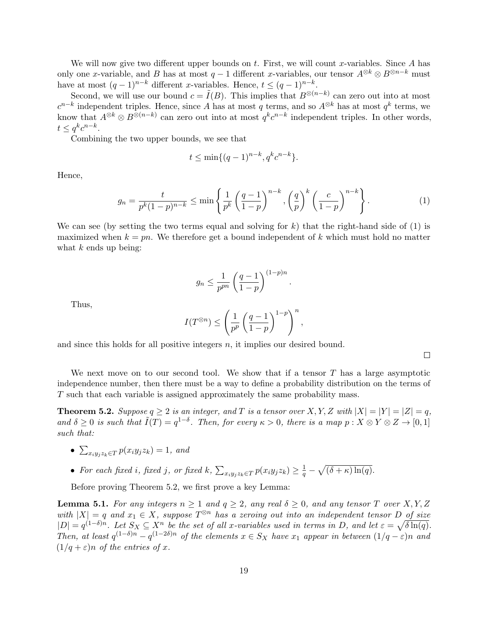We will now give two different upper bounds on  $t$ . First, we will count x-variables. Since  $A$  has only one x-variable, and B has at most  $q-1$  different x-variables, our tensor  $A^{\otimes k} \otimes B^{\otimes n-k}$  must have at most  $(q-1)^{n-k}$  different x-variables. Hence,  $t \leq (q-1)^{n-k}$ .

Second, we will use our bound  $c = \tilde{I}(B)$ . This implies that  $B^{\otimes (n-k)}$  can zero out into at most  $c^{n-k}$  independent triples. Hence, since A has at most q terms, and so  $A^{\otimes k}$  has at most  $q^k$  terms, we know that  $A^{\otimes k} \otimes B^{\otimes (n-k)}$  can zero out into at most  $q^k c^{n-k}$  independent triples. In other words,  $t \leq q^k c^{n-k}.$ 

Combining the two upper bounds, we see that

$$
t \le \min\{(q-1)^{n-k}, q^k c^{n-k}\}.
$$

Hence,

$$
g_n = \frac{t}{p^k (1-p)^{n-k}} \le \min\left\{\frac{1}{p^k} \left(\frac{q-1}{1-p}\right)^{n-k}, \left(\frac{q}{p}\right)^k \left(\frac{c}{1-p}\right)^{n-k}\right\}.
$$
 (1)

.

We can see (by setting the two terms equal and solving for  $k$ ) that the right-hand side of (1) is maximized when  $k = pn$ . We therefore get a bound independent of k which must hold no matter what  $k$  ends up being:

$$
g_n \le \frac{1}{p^{pn}} \left(\frac{q-1}{1-p}\right)^{(1-p)n}
$$

Thus,

$$
I(T^{\otimes n})\leq \left(\frac{1}{p^p}\left(\frac{q-1}{1-p}\right)^{1-p}\right)^n,
$$

and since this holds for all positive integers  $n$ , it implies our desired bound.

 $\Box$ 

We next move on to our second tool. We show that if a tensor  $T$  has a large asymptotic independence number, then there must be a way to define a probability distribution on the terms of T such that each variable is assigned approximately the same probability mass.

**Theorem 5.2.** Suppose  $q \ge 2$  is an integer, and T is a tensor over X, Y, Z with  $|X| = |Y| = |Z| = q$ , and  $\delta \geq 0$  is such that  $\tilde{I}(T) = q^{1-\delta}$ . Then, for every  $\kappa > 0$ , there is a map  $p : X \otimes Y \otimes Z \to [0,1]$ such that:

• 
$$
\sum_{x_i y_j z_k \in T} p(x_i y_j z_k) = 1, \text{ and}
$$

• For each fixed i, fixed j, or fixed  $k$ ,  $\sum_{x_i y_j z_k \in T} p(x_i y_j z_k) \geq \frac{1}{q} - \sqrt{(\delta + \kappa) \ln(q)}$ .

Before proving Theorem 5.2, we first prove a key Lemma:

**Lemma 5.1.** For any integers  $n \geq 1$  and  $q \geq 2$ , any real  $\delta \geq 0$ , and any tensor T over X, Y, Z with  $|X| = q$  and  $x_1 \in X$ , suppose  $T^{\otimes n}$  has a zeroing out into an independent tensor D of size  $|D| = q^{(1-\delta)n}$ . Let  $S_X \subseteq X^n$  be the set of all x-variables used in terms in D, and let  $\varepsilon = \sqrt{\delta \ln(q)}$ . Then, at least  $q^{(1-\delta)n} - q^{(1-2\delta)n}$  of the elements  $x \in S_X$  have  $x_1$  appear in between  $(1/q - \varepsilon)n$  and  $(1/q + \varepsilon)n$  of the entries of x.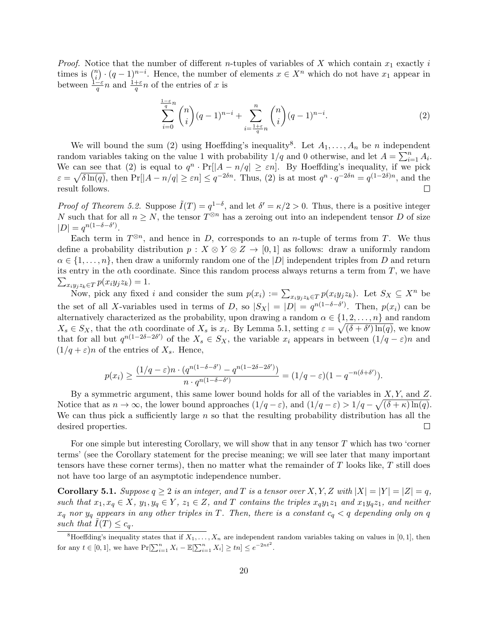*Proof.* Notice that the number of different *n*-tuples of variables of X which contain  $x_1$  exactly i times is  $\binom{n}{i}$  $\binom{n}{i} \cdot (q-1)^{n-i}$ . Hence, the number of elements  $x \in X^n$  which do not have  $x_1$  appear in between  $\frac{1-\varepsilon}{q}n$  and  $\frac{1+\varepsilon}{q}n$  of the entries of x is

$$
\sum_{i=0}^{\frac{1-\varepsilon}{q}n} \binom{n}{i} (q-1)^{n-i} + \sum_{i=\frac{1+\varepsilon}{q}n}^{n} \binom{n}{i} (q-1)^{n-i}.
$$
 (2)

We will bound the sum (2) using Hoeffding's inequality<sup>8</sup>. Let  $A_1, \ldots, A_n$  be n independent random variables taking on the value 1 with probability  $1/q$  and 0 otherwise, and let  $A = \sum_{i=1}^{n} A_i$ . We can see that (2) is equal to  $q^n \cdot \Pr[|A - n/q| \geq \varepsilon n]$ . By Hoeffding's inequality, if we pick  $\varepsilon = \sqrt{\delta \ln(q)}$ , then  $Pr[|A - n/q| \ge \varepsilon n] \le q^{-2\delta n}$ . Thus, (2) is at most  $q^n \cdot q^{-2\delta n} = q^{(1-2\delta)n}$ , and the result follows.  $\Box$ 

*Proof of Theorem 5.2.* Suppose  $\tilde{I}(T) = q^{1-\delta}$ , and let  $\delta' = \kappa/2 > 0$ . Thus, there is a positive integer N such that for all  $n \geq N$ , the tensor  $T^{\otimes n}$  has a zeroing out into an independent tensor D of size  $|D| = q^{n(1-\delta-\delta')}$ .

Each term in  $T^{\otimes n}$ , and hence in D, corresponds to an *n*-tuple of terms from T. We thus define a probability distribution  $p : X \otimes Y \otimes Z \rightarrow [0,1]$  as follows: draw a uniformly random  $\alpha \in \{1, \ldots, n\}$ , then draw a uniformly random one of the  $|D|$  independent triples from D and return its entry in the  $\alpha$ th coordinate. Since this random process always returns a term from T, we have  $\sum_{x_i y_j z_k \in T} p(x_i y_j z_k) = 1.$ 

Now, pick any fixed i and consider the sum  $p(x_i) := \sum_{x_i y_j z_k \in T} p(x_i y_j z_k)$ . Let  $S_X \subseteq X^n$  be the set of all X-variables used in terms of D, so  $|S_X| = |D| = q^{n(1-\delta-\delta')}$ . Then,  $p(x_i)$  can be alternatively characterized as the probability, upon drawing a random  $\alpha \in \{1, 2, \ldots, n\}$  and random  $X_s \in S_X$ , that the  $\alpha$ th coordinate of  $X_s$  is  $x_i$ . By Lemma 5.1, setting  $\varepsilon = \sqrt{(\delta + \delta') \ln(q)}$ , we know that for all but  $q^{n(1-2\delta-2\delta')}$  of the  $X_s \in S_X$ , the variable  $x_i$  appears in between  $(1/q - \varepsilon)n$  and  $(1/q + \varepsilon)n$  of the entries of  $X_s$ . Hence,

$$
p(x_i) \ge \frac{(1/q - \varepsilon)n \cdot (q^{n(1-\delta-\delta')}-q^{n(1-2\delta-2\delta')})}{n \cdot q^{n(1-\delta-\delta')}} = (1/q - \varepsilon)(1-q^{-n(\delta+\delta')}).
$$

By a symmetric argument, this same lower bound holds for all of the variables in  $X, Y$ , and  $Z$ . Notice that as  $n \to \infty$ , the lower bound approaches  $(1/q - \varepsilon)$ , and  $(1/q - \varepsilon) > 1/q - \sqrt{(\delta + \kappa) \ln(q)}$ . We can thus pick a sufficiently large  $n$  so that the resulting probability distribution has all the desired properties.  $\Box$ 

For one simple but interesting Corollary, we will show that in any tensor  $T$  which has two 'corner terms' (see the Corollary statement for the precise meaning; we will see later that many important tensors have these corner terms), then no matter what the remainder of  $T$  looks like,  $T$  still does not have too large of an asymptotic independence number.

**Corollary 5.1.** Suppose  $q \ge 2$  is an integer, and T is a tensor over X, Y, Z with  $|X| = |Y| = |Z| = q$ , such that  $x_1, x_q \in X$ ,  $y_1, y_q \in Y$ ,  $z_1 \in Z$ , and T contains the triples  $x_qy_1z_1$  and  $x_1y_qz_1$ , and neither  $x_q$  nor  $y_q$  appears in any other triples in T. Then, there is a constant  $c_q < q$  depending only on q such that  $\overline{I}(T) \leq c_q$ .

<sup>&</sup>lt;sup>8</sup>Hoeffding's inequality states that if  $X_1, \ldots, X_n$  are independent random variables taking on values in [0, 1], then for any  $t \in [0, 1]$ , we have  $Pr[\sum_{i=1}^{n} X_i - \mathbb{E}[\sum_{i=1}^{n} X_i] \geq tn] \leq e^{-2nt^2}$ .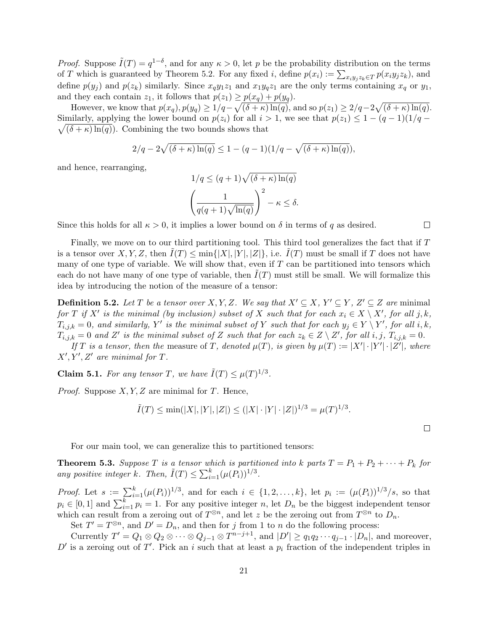*Proof.* Suppose  $\tilde{I}(T) = q^{1-\delta}$ , and for any  $\kappa > 0$ , let p be the probability distribution on the terms of T which is guaranteed by Theorem 5.2. For any fixed *i*, define  $p(x_i) := \sum_{x_i y_j z_k \in T} p(x_i y_j z_k)$ , and define  $p(y_j)$  and  $p(z_k)$  similarly. Since  $x_qy_1z_1$  and  $x_1y_qz_1$  are the only terms containing  $x_q$  or  $y_1$ , and they each contain  $z_1$ , it follows that  $p(z_1) \geq p(x_q) + p(y_q)$ .

However, we know that  $p(x_q), p(y_q) \geq 1/q - \sqrt{(\delta + \kappa) \ln(q)}$ , and so  $p(z_1) \geq 2/q - 2\sqrt{(\delta + \kappa) \ln(q)}$ .  $\sqrt{(\delta + \kappa) \ln(q)}$ . Combining the two bounds shows that Similarly, applying the lower bound on  $p(z_i)$  for all  $i > 1$ , we see that  $p(z_1) \leq 1 - (q-1)(1/q -$ 

$$
2/q - 2\sqrt{(\delta + \kappa)\ln(q)} \le 1 - (q-1)(1/q - \sqrt{(\delta + \kappa)\ln(q)}),
$$

and hence, rearranging,

$$
1/q \le (q+1)\sqrt{(\delta+\kappa)\ln(q)}
$$

$$
\left(\frac{1}{q(q+1)\sqrt{\ln(q)}}\right)^2 - \kappa \le \delta.
$$

Since this holds for all  $\kappa > 0$ , it implies a lower bound on  $\delta$  in terms of q as desired.

Finally, we move on to our third partitioning tool. This third tool generalizes the fact that if T is a tensor over X, Y, Z, then  $I(T) \le \min\{|X|, |Y|, |Z|\}$ , i.e.  $I(T)$  must be small if T does not have many of one type of variable. We will show that, even if  $T$  can be partitioned into tensors which each do not have many of one type of variable, then  $I(T)$  must still be small. We will formalize this idea by introducing the notion of the measure of a tensor:

**Definition 5.2.** Let T be a tensor over X, Y, Z. We say that  $X' \subseteq X$ ,  $Y' \subseteq Y$ ,  $Z' \subseteq Z$  are minimal for T if X' is the minimal (by inclusion) subset of X such that for each  $x_i \in X \setminus X'$ , for all j, k,  $T_{i,j,k} = 0$ , and similarly, Y' is the minimal subset of Y such that for each  $y_j \in Y \setminus Y'$ , for all i, k,  $\widetilde{T_{i,j,k}} = 0$  and  $Z'$  is the minimal subset of Z such that for each  $z_k \in Z \setminus Z'$ , for all  $i, j, T_{i,j,k} = 0$ .

If T is a tensor, then the measure of T, denoted  $\mu(T)$ , is given by  $\mu(T) := |X'| \cdot |Y'| \cdot |Z'|$ , where  $X', Y', Z'$  are minimal for T.

**Claim 5.1.** For any tensor T, we have  $\tilde{I}(T) \leq \mu(T)^{1/3}$ .

*Proof.* Suppose  $X, Y, Z$  are minimal for T. Hence,

$$
\tilde{I}(T) \le \min(|X|, |Y|, |Z|) \le (|X| \cdot |Y| \cdot |Z|)^{1/3} = \mu(T)^{1/3}.
$$

For our main tool, we can generalize this to partitioned tensors:

**Theorem 5.3.** Suppose T is a tensor which is partitioned into k parts  $T = P_1 + P_2 + \cdots + P_k$  for any positive integer k. Then,  $\tilde{I}(T) \leq \sum_{i=1}^{k} (\mu(P_i))^{1/3}$ .

*Proof.* Let  $s := \sum_{i=1}^{k} (\mu(P_i))^{1/3}$ , and for each  $i \in \{1, 2, ..., k\}$ , let  $p_i := (\mu(P_i))^{1/3}/s$ , so that  $p_i \in [0,1]$  and  $\sum_{i=1}^k p_i = 1$ . For any positive integer n, let  $D_n$  be the biggest independent tensor which can result from a zeroing out of  $T^{\otimes n}$ , and let z be the zeroing out from  $T^{\otimes n}$  to  $D_n$ .

Set  $T' = T^{\otimes n}$ , and  $D' = D_n$ , and then for j from 1 to n do the following process:

Currently  $T' = Q_1 \otimes Q_2 \otimes \cdots \otimes Q_{j-1} \otimes T^{n-j+1}$ , and  $|D'| \ge q_1 q_2 \cdots q_{j-1} \cdot |D_n|$ , and moreover,  $D'$  is a zeroing out of T'. Pick an i such that at least a  $p_i$  fraction of the independent triples in

 $\Box$ 

 $\Box$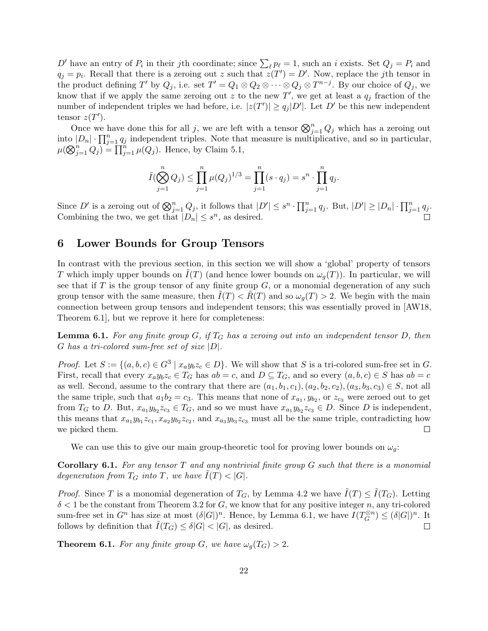D' have an entry of  $P_i$  in their jth coordinate; since  $\sum_{\ell} p_{\ell} = 1$ , such an i exists. Set  $Q_j = P_i$  and  $q_j = p_i$ . Recall that there is a zeroing out z such that  $z(T') = D'$ . Now, replace the jth tensor in the product defining T' by  $Q_j$ , i.e. set  $T' = Q_1 \otimes Q_2 \otimes \cdots \otimes Q_j \otimes T^{n-j}$ . By our choice of  $Q_j$ , we know that if we apply the same zeroing out z to the new T', we get at least a  $q_j$  fraction of the number of independent triples we had before, i.e.  $|z(T')| \ge q_j |D'|$ . Let  $D'$  be this new independent tensor  $z(T')$ .

Once we have done this for all j, we are left with a tensor  $\bigotimes_{j=1}^{n} Q_j$  which has a zeroing out into  $|D_n| \cdot \prod_{j=1}^n q_j$  independent triples. Note that measure is multiplicative, and so in particular,  $\mu(\bigotimes_{j=1}^n Q_j) = \prod_{j=1}^n \mu(Q_j)$ . Hence, by Claim 5.1,

$$
\tilde{I}(\bigotimes_{j=1}^{n} Q_j) \leq \prod_{j=1}^{n} \mu(Q_j)^{1/3} = \prod_{j=1}^{n} (s \cdot q_j) = s^n \cdot \prod_{j=1}^{n} q_j.
$$

Since D' is a zeroing out of  $\bigotimes_{j=1}^{n} Q_j$ , it follows that  $|D'| \leq s^n \cdot \prod_{j=1}^{n} q_j$ . But,  $|D'| \geq |D_n| \cdot \prod_{j=1}^{n} q_j$ . Combining the two, we get that  $|D_n| \leq s^n$ , as desired.

### 6 Lower Bounds for Group Tensors

In contrast with the previous section, in this section we will show a 'global' property of tensors T which imply upper bounds on  $I(T)$  (and hence lower bounds on  $\omega_q(T)$ ). In particular, we will see that if  $T$  is the group tensor of any finite group  $G$ , or a monomial degeneration of any such group tensor with the same measure, then  $\overline{I(T)} < \overline{R(T)}$  and so  $\omega_q(T) > 2$ . We begin with the main connection between group tensors and independent tensors; this was essentially proved in [AW18, Theorem 6.1], but we reprove it here for completeness:

**Lemma 6.1.** For any finite group G, if  $T_G$  has a zeroing out into an independent tensor D, then G has a tri-colored sum-free set of size  $|D|$ .

*Proof.* Let  $S := \{(a, b, c) \in G^3 \mid x_a y_b z_c \in D\}$ . We will show that S is a tri-colored sum-free set in G. First, recall that every  $x_ay_bz_c \in T_G$  has  $ab = c$ , and  $D \subseteq T_G$ , and so every  $(a, b, c) \in S$  has  $ab = c$ as well. Second, assume to the contrary that there are  $(a_1, b_1, c_1), (a_2, b_2, c_2), (a_3, b_3, c_3) \in S$ , not all the same triple, such that  $a_1b_2 = c_3$ . This means that none of  $x_{a_1}, y_{b_2}$ , or  $z_{c_3}$  were zeroed out to get from  $T_G$  to D. But,  $x_{a_1}y_{b_2}z_{c_3} \in T_G$ , and so we must have  $x_{a_1}y_{b_2}z_{c_3} \in D$ . Since D is independent, this means that  $x_{a_1}y_{b_1}z_{c_1}$ ,  $x_{a_2}y_{b_2}z_{c_2}$ , and  $x_{a_3}y_{b_3}z_{c_3}$  must all be the same triple, contradicting how we picked them.  $\Box$ 

We can use this to give our main group-theoretic tool for proving lower bounds on  $\omega_q$ :

**Corollary 6.1.** For any tensor  $T$  and any nontrivial finite group  $G$  such that there is a monomial degeneration from  $T_G$  into T, we have  $I(T) < |G|$ .

*Proof.* Since T is a monomial degeneration of  $T_G$ , by Lemma 4.2 we have  $\tilde{I}(T) \leq \tilde{I}(T_G)$ . Letting  $\delta$  < 1 be the constant from Theorem 3.2 for G, we know that for any positive integer n, any tri-colored sum-free set in  $G^n$  has size at most  $(\delta |G|)^n$ . Hence, by Lemma 6.1, we have  $I(T_G^{\otimes n})$  $\mathcal{E}_G^{(8n)} \leq (\delta |G|)^n$ . It follows by definition that  $\tilde{I}(T_G) \leq \delta |G| < |G|$ , as desired.  $\Box$ 

**Theorem 6.1.** For any finite group G, we have  $\omega_q(T_G) > 2$ .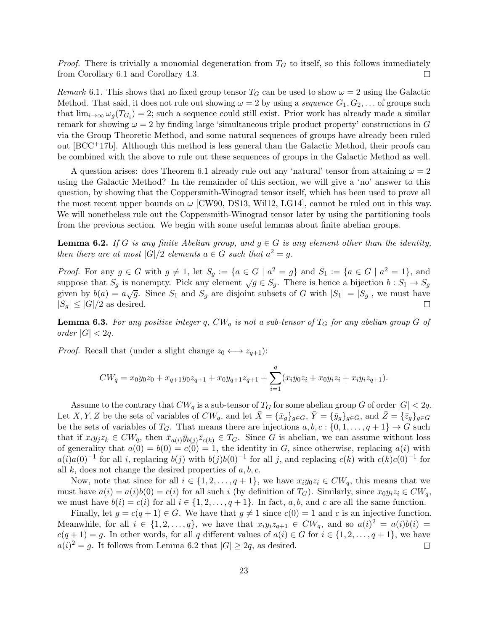*Proof.* There is trivially a monomial degeneration from  $T<sub>G</sub>$  to itself, so this follows immediately from Corollary 6.1 and Corollary 4.3.  $\Box$ 

Remark 6.1. This shows that no fixed group tensor  $T_G$  can be used to show  $\omega = 2$  using the Galactic Method. That said, it does not rule out showing  $\omega = 2$  by using a sequence  $G_1, G_2, \ldots$  of groups such that  $\lim_{i\to\infty} \omega_g(T_{G_i}) = 2$ ; such a sequence could still exist. Prior work has already made a similar remark for showing  $\omega = 2$  by finding large 'simultaneous triple product property' constructions in G via the Group Theoretic Method, and some natural sequences of groups have already been ruled out  $[BCC^+17b]$ . Although this method is less general than the Galactic Method, their proofs can be combined with the above to rule out these sequences of groups in the Galactic Method as well.

A question arises: does Theorem 6.1 already rule out any 'natural' tensor from attaining  $\omega = 2$ using the Galactic Method? In the remainder of this section, we will give a 'no' answer to this question, by showing that the Coppersmith-Winograd tensor itself, which has been used to prove all the most recent upper bounds on  $\omega$  [CW90, DS13, Will2, LG14], cannot be ruled out in this way. We will nonetheless rule out the Coppersmith-Winograd tensor later by using the partitioning tools from the previous section. We begin with some useful lemmas about finite abelian groups.

**Lemma 6.2.** If G is any finite Abelian group, and  $q \in G$  is any element other than the identity, then there are at most  $|G|/2$  elements  $a \in G$  such that  $a^2 = g$ .

*Proof.* For any  $g \in G$  with  $g \neq 1$ , let  $S_g := \{a \in G \mid a^2 = g\}$  and  $S_1 := \{a \in G \mid a^2 = 1\}$ , and suppose that  $S_g$  is nonempty. Pick any element  $\sqrt{g} \in S_g$ . There is hence a bijection  $b : S_1 \to S_g$ given by  $b(a) = a\sqrt{g}$ . Since  $S_1$  and  $S_g$  are disjoint subsets of G with  $|S_1| = |S_g|$ , we must have  $|S_q| \leq |G|/2$  as desired.  $\Box$ 

**Lemma 6.3.** For any positive integer q,  $CW_q$  is not a sub-tensor of  $T_G$  for any abelian group G of order  $|G| < 2q$ .

*Proof.* Recall that (under a slight change  $z_0 \leftrightarrow z_{q+1}$ ):

$$
CW_q = x_0 y_0 z_0 + x_{q+1} y_0 z_{q+1} + x_0 y_{q+1} z_{q+1} + \sum_{i=1}^q (x_i y_0 z_i + x_0 y_i z_i + x_i y_i z_{q+1}).
$$

Assume to the contrary that  $CW_q$  is a sub-tensor of  $T_G$  for some abelian group G of order  $|G| < 2q$ . Let X, Y, Z be the sets of variables of  $CW_q$ , and let  $\bar{X} = {\{\bar{x}_g\}}_{g \in G}$ ,  $\bar{Y} = {\{\bar{y}_g\}}_{g \in G}$ , and  $\bar{Z} = {\{\bar{z}_g\}}_{g \in G}$ be the sets of variables of  $T_G$ . That means there are injections  $a, b, c : \{0, 1, \ldots, q + 1\} \rightarrow G$  such that if  $x_i y_j z_k \in CW_q$ , then  $\bar{x}_{a(i)} \bar{y}_{b(i)} \bar{z}_{c(k)} \in T_G$ . Since G is abelian, we can assume without loss of generality that  $a(0) = b(0) = c(0) = 1$ , the identity in G, since otherwise, replacing  $a(i)$  with  $a(i)a(0)^{-1}$  for all i, replacing  $b(j)$  with  $b(j)b(0)^{-1}$  for all j, and replacing  $c(k)$  with  $c(k)c(0)^{-1}$  for all  $k$ , does not change the desired properties of  $a, b, c$ .

Now, note that since for all  $i \in \{1, 2, ..., q + 1\}$ , we have  $x_i y_0 z_i \in CW_q$ , this means that we must have  $a(i) = a(i)b(0) = c(i)$  for all such i (by definition of  $T_G$ ). Similarly, since  $x_0y_iz_i \in CW_q$ , we must have  $b(i) = c(i)$  for all  $i \in \{1, 2, ..., q + 1\}$ . In fact, a, b, and c are all the same function.

Finally, let  $g = c(q + 1) \in G$ . We have that  $g \neq 1$  since  $c(0) = 1$  and c is an injective function. Meanwhile, for all  $i \in \{1, 2, ..., q\}$ , we have that  $x_i y_i z_{q+1} \in CW_q$ , and so  $a(i)^2 = a(i)b(i)$  $c(q + 1) = g$ . In other words, for all q different values of  $a(i) \in G$  for  $i \in \{1, 2, ..., q + 1\}$ , we have  $a(i)^2 = g$ . It follows from Lemma 6.2 that  $|G| \geq 2q$ , as desired.  $\Box$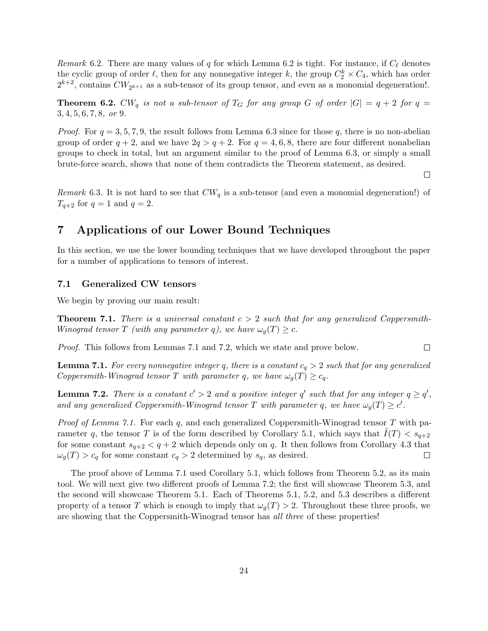Remark 6.2. There are many values of q for which Lemma 6.2 is tight. For instance, if  $C_{\ell}$  denotes the cyclic group of order  $\ell$ , then for any nonnegative integer k, the group  $C_2^k \times C_4$ , which has order  $2^{k+2}$ , contains  $CW_{2^{k+1}}$  as a sub-tensor of its group tensor, and even as a monomial degeneration!.

**Theorem 6.2.** CW<sub>q</sub> is not a sub-tensor of T<sub>G</sub> for any group G of order  $|G| = q + 2$  for  $q =$ 3, 4, 5, 6, 7, 8, or 9.

*Proof.* For  $q = 3, 5, 7, 9$ , the result follows from Lemma 6.3 since for those q, there is no non-abelian group of order  $q + 2$ , and we have  $2q > q + 2$ . For  $q = 4, 6, 8$ , there are four different nonabelian groups to check in total, but an argument similar to the proof of Lemma 6.3, or simply a small brute-force search, shows that none of them contradicts the Theorem statement, as desired.

 $\Box$ 

 $\Box$ 

Remark 6.3. It is not hard to see that  $CW_q$  is a sub-tensor (and even a monomial degeneration!) of  $T_{q+2}$  for  $q=1$  and  $q=2$ .

# 7 Applications of our Lower Bound Techniques

In this section, we use the lower bounding techniques that we have developed throughout the paper for a number of applications to tensors of interest.

### 7.1 Generalized CW tensors

We begin by proving our main result:

**Theorem 7.1.** There is a universal constant  $c > 2$  such that for any generalized Coppersmith-Winograd tensor T (with any parameter q), we have  $\omega_q(T) \geq c$ .

Proof. This follows from Lemmas 7.1 and 7.2, which we state and prove below.

**Lemma 7.1.** For every nonnegative integer q, there is a constant  $c_q > 2$  such that for any generalized Coppersmith-Winograd tensor T with parameter q, we have  $\omega_g(T) \geq c_q$ .

**Lemma 7.2.** There is a constant  $c' > 2$  and a positive integer q' such that for any integer  $q \geq q'$ , and any generalized Coppersmith-Winograd tensor T with parameter q, we have  $\omega_g(T) \geq c'$ .

*Proof of Lemma 7.1.* For each q, and each generalized Coppersmith-Winograd tensor T with parameter q, the tensor T is of the form described by Corollary 5.1, which says that  $I(T) < s_{q+2}$ for some constant  $s_{q+2} < q+2$  which depends only on q. It then follows from Corollary 4.3 that  $\omega_q(T) > c_q$  for some constant  $c_q > 2$  determined by  $s_q$ , as desired.  $\Box$ 

The proof above of Lemma 7.1 used Corollary 5.1, which follows from Theorem 5.2, as its main tool. We will next give two different proofs of Lemma 7.2; the first will showcase Theorem 5.3, and the second will showcase Theorem 5.1. Each of Theorems 5.1, 5.2, and 5.3 describes a different property of a tensor T which is enough to imply that  $\omega_q(T) > 2$ . Throughout these three proofs, we are showing that the Coppersmith-Winograd tensor has all three of these properties!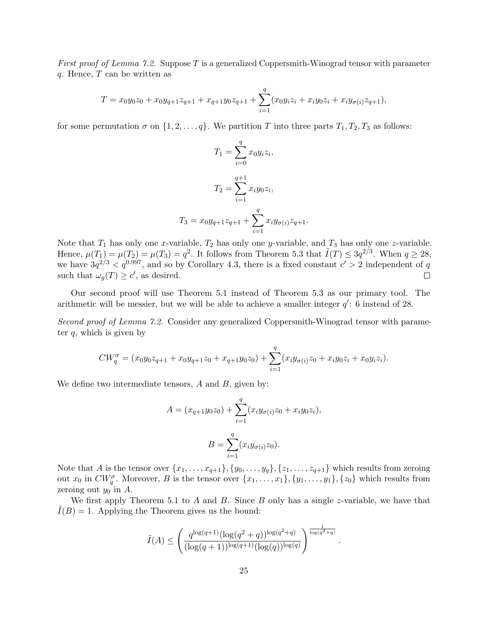*First proof of Lemma 7.2.* Suppose T is a generalized Coppersmith-Winograd tensor with parameter  $q.$  Hence,  $T$  can be written as

$$
T = x_0 y_0 z_0 + x_0 y_{q+1} z_{q+1} + x_{q+1} y_0 z_{q+1} + \sum_{i=1}^q (x_0 y_i z_i + x_i y_0 z_i + x_i y_{\sigma(i)} z_{q+1}),
$$

for some permutation  $\sigma$  on  $\{1, 2, \ldots, q\}$ . We partition T into three parts  $T_1, T_2, T_3$  as follows:

$$
T_1 = \sum_{i=0}^{q} x_0 y_i z_i,
$$
  
\n
$$
T_2 = \sum_{i=1}^{q+1} x_i y_0 z_i,
$$
  
\n
$$
T_3 = x_0 y_{q+1} z_{q+1} + \sum_{i=1}^{q} x_i y_{\sigma(i)} z_{q+1}.
$$

Note that  $T_1$  has only one x-variable,  $T_2$  has only one y-variable, and  $T_3$  has only one z-variable. Hence,  $\mu(T_1) = \mu(T_2) = \mu(T_3) = q^2$ . It follows from Theorem 5.3 that  $\tilde{I}(T) \leq 3q^{2/3}$ . When  $q \geq 28$ , we have  $3q^{2/3} < q^{0.997}$ , and so by Corollary 4.3, there is a fixed constant  $c' > 2$  independent of q such that  $\omega_g(T) \geq c'$ , as desired.  $\Box$ 

Our second proof will use Theorem 5.1 instead of Theorem 5.3 as our primary tool. The arithmetic will be messier, but we will be able to achieve a smaller integer  $q'$ : 6 instead of 28.

Second proof of Lemma 7.2. Consider any generalized Coppersmith-Winograd tensor with parameter  $q$ , which is given by

$$
CW_q^{\sigma} = (x_0y_0z_{q+1} + x_0y_{q+1}z_0 + x_{q+1}y_0z_0) + \sum_{i=1}^q (x_iy_{\sigma(i)}z_0 + x_iy_0z_i + x_0y_iz_i).
$$

We define two intermediate tensors,  $A$  and  $B$ , given by:

$$
A = (x_{q+1}y_0z_0) + \sum_{i=1}^q (x_iy_{\sigma(i)}z_0 + x_iy_0z_i),
$$
  

$$
B = \sum_{i=1}^q (x_iy_{\sigma(i)}z_0).
$$

Note that A is the tensor over  $\{x_1, \ldots, x_{q+1}\}, \{y_0, \ldots, y_q\}, \{z_1, \ldots, z_{q+1}\}$  which results from zeroing out  $x_0$  in  $CW_q^{\sigma}$ . Moreover, B is the tensor over  $\{x_1, \ldots, x_1\}$ ,  $\{y_1, \ldots, y_1\}$ ,  $\{z_0\}$  which results from zeroing out  $y_0$  in A.

We first apply Theorem 5.1 to A and B. Since B only has a single z-variable, we have that  $I(B) = 1$ . Applying the Theorem gives us the bound:

$$
\tilde{I}(A) \le \left(\frac{q^{\log(q+1)}(\log(q^2+q))^{\log(q^2+q)}}{(\log(q+1))^{\log(q+1)}(\log(q))^{\log(q)}}\right)^{\frac{1}{\log(q^2+q)}}
$$

.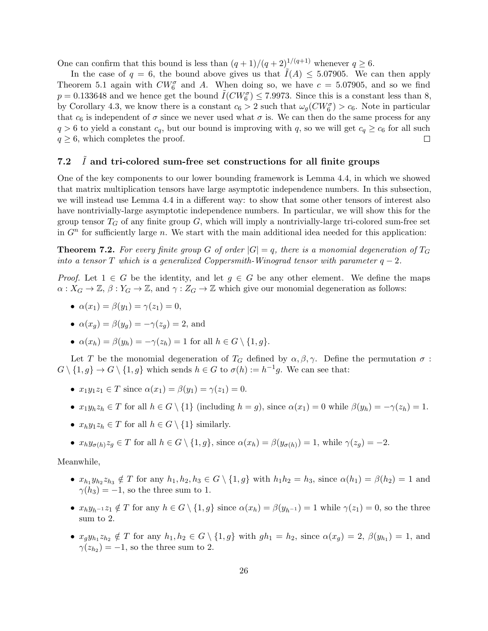One can confirm that this bound is less than  $(q+1)/(q+2)^{1/(q+1)}$  whenever  $q \ge 6$ .

In the case of  $q = 6$ , the bound above gives us that  $\tilde{I}(A) \leq 5.07905$ . We can then apply Theorem 5.1 again with  $CW_6^{\sigma}$  and A. When doing so, we have  $c = 5.07905$ , and so we find  $p = 0.133648$  and we hence get the bound  $\tilde{I}(CW_6^{\sigma}) \le 7.9973$ . Since this is a constant less than 8, by Corollary 4.3, we know there is a constant  $c_6 > 2$  such that  $\omega_g(CW_6^{\sigma}) > c_6$ . Note in particular that  $c_6$  is independent of  $\sigma$  since we never used what  $\sigma$  is. We can then do the same process for any  $q > 6$  to yield a constant  $c_q$ , but our bound is improving with q, so we will get  $c_q \geq c_6$  for all such  $q \geq 6$ , which completes the proof.  $\Box$ 

### 7.2  $\tilde{I}$  and tri-colored sum-free set constructions for all finite groups

One of the key components to our lower bounding framework is Lemma 4.4, in which we showed that matrix multiplication tensors have large asymptotic independence numbers. In this subsection, we will instead use Lemma 4.4 in a different way: to show that some other tensors of interest also have nontrivially-large asymptotic independence numbers. In particular, we will show this for the group tensor  $T_G$  of any finite group  $G$ , which will imply a nontrivially-large tri-colored sum-free set in  $G<sup>n</sup>$  for sufficiently large n. We start with the main additional idea needed for this application:

**Theorem 7.2.** For every finite group G of order  $|G| = q$ , there is a monomial degeneration of  $T_G$ into a tensor T which is a generalized Coppersmith-Winograd tensor with parameter  $q-2$ .

*Proof.* Let  $1 \in G$  be the identity, and let  $g \in G$  be any other element. We define the maps  $\alpha: X_G \to \mathbb{Z}, \beta: Y_G \to \mathbb{Z}, \text{ and } \gamma: Z_G \to \mathbb{Z} \text{ which give our monomial degeneration as follows:}$ 

•  $\alpha(x_1) = \beta(y_1) = \gamma(z_1) = 0,$ 

• 
$$
\alpha(x_g) = \beta(y_g) = -\gamma(z_g) = 2
$$
, and

•  $\alpha(x_h) = \beta(y_h) = -\gamma(z_h) = 1$  for all  $h \in G \setminus \{1, g\}.$ 

Let T be the monomial degeneration of  $T_G$  defined by  $\alpha, \beta, \gamma$ . Define the permutation  $\sigma$ :  $G \setminus \{1, g\} \to G \setminus \{1, g\}$  which sends  $h \in G$  to  $\sigma(h) := h^{-1}g$ . We can see that:

- $x_1y_1z_1 \in T$  since  $\alpha(x_1) = \beta(y_1) = \gamma(z_1) = 0$ .
- $x_1y_hz_h \in T$  for all  $h \in G \setminus \{1\}$  (including  $h = g$ ), since  $\alpha(x_1) = 0$  while  $\beta(y_h) = -\gamma(z_h) = 1$ .
- $x_h y_1 z_h \in T$  for all  $h \in G \setminus \{1\}$  similarly.
- $x_h y_{\sigma(h)} z_g \in T$  for all  $h \in G \setminus \{1, g\}$ , since  $\alpha(x_h) = \beta(y_{\sigma(h)}) = 1$ , while  $\gamma(z_g) = -2$ .

Meanwhile,

- $x_{h_1}y_{h_2}z_{h_3} \notin T$  for any  $h_1, h_2, h_3 \in G \setminus \{1, g\}$  with  $h_1h_2 = h_3$ , since  $\alpha(h_1) = \beta(h_2) = 1$  and  $\gamma(h_3) = -1$ , so the three sum to 1.
- $x_h y_{h^{-1}} z_1 \notin T$  for any  $h \in G \setminus \{1, g\}$  since  $\alpha(x_h) = \beta(y_{h^{-1}}) = 1$  while  $\gamma(z_1) = 0$ , so the three sum to 2.
- $x_gy_{h_1}z_{h_2} \notin T$  for any  $h_1, h_2 \in G \setminus \{1, g\}$  with  $gh_1 = h_2$ , since  $\alpha(x_g) = 2$ ,  $\beta(y_{h_1}) = 1$ , and  $\gamma(z_{h_2}) = -1$ , so the three sum to 2.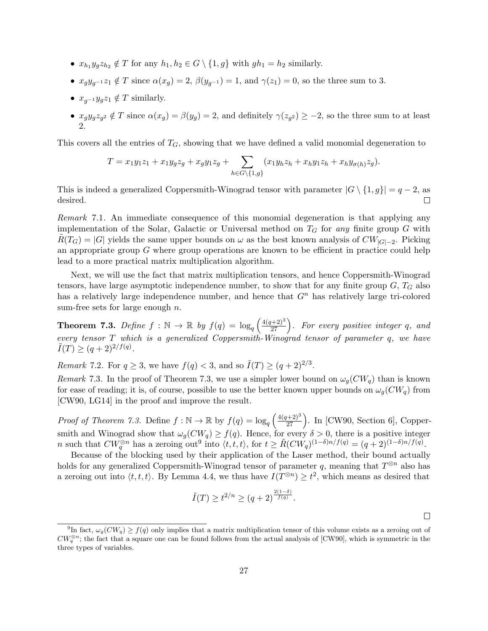- $x_{h_1}y_gz_{h_2} \notin T$  for any  $h_1, h_2 \in G \setminus \{1, g\}$  with  $gh_1 = h_2$  similarly.
- $x_q y_{q-1} z_1 \notin T$  since  $\alpha(x_q) = 2$ ,  $\beta(y_{q-1}) = 1$ , and  $\gamma(z_1) = 0$ , so the three sum to 3.
- $x_{q^{-1}}y_qz_1 \notin T$  similarly.
- $x_g y_g z_{g^2} \notin T$  since  $\alpha(x_g) = \beta(y_g) = 2$ , and definitely  $\gamma(z_{g^2}) \geq -2$ , so the three sum to at least 2.

This covers all the entries of  $T<sub>G</sub>$ , showing that we have defined a valid monomial degeneration to

$$
T = x_1 y_1 z_1 + x_1 y_g z_g + x_g y_1 z_g + \sum_{h \in G \setminus \{1,g\}} (x_1 y_h z_h + x_h y_1 z_h + x_h y_{\sigma(h)} z_g).
$$

This is indeed a generalized Coppersmith-Winograd tensor with parameter  $|G \setminus \{1,g\}| = q-2$ , as desired.  $\Box$ 

Remark 7.1. An immediate consequence of this monomial degeneration is that applying any implementation of the Solar, Galactic or Universal method on  $T_G$  for any finite group G with  $\tilde{R}(T_G) = |G|$  yields the same upper bounds on  $\omega$  as the best known analysis of  $CW_{|G|-2}$ . Picking an appropriate group  $G$  where group operations are known to be efficient in practice could help lead to a more practical matrix multiplication algorithm.

Next, we will use the fact that matrix multiplication tensors, and hence Coppersmith-Winograd tensors, have large asymptotic independence number, to show that for any finite group  $G, T_G$  also has a relatively large independence number, and hence that  $G<sup>n</sup>$  has relatively large tri-colored sum-free sets for large enough  $n$ .

**Theorem 7.3.** Define  $f : \mathbb{N} \to \mathbb{R}$  by  $f(q) = \log_q \left( \frac{4(q+2)^3}{27} \right)$ . For every positive integer q, and every tensor  $T$  which is a generalized Coppersmith-Winograd tensor of parameter  $q$ , we have  $\tilde{I}(T) \ge (q+2)^{2/f(q)}.$ 

Remark 7.2. For  $q \geq 3$ , we have  $f(q) < 3$ , and so  $\tilde{I}(T) \geq (q+2)^{2/3}$ .

Remark 7.3. In the proof of Theorem 7.3, we use a simpler lower bound on  $\omega_q(CW_q)$  than is known for ease of reading; it is, of course, possible to use the better known upper bounds on  $\omega_g(CW_q)$  from [CW90, LG14] in the proof and improve the result.

*Proof of Theorem 7.3.* Define  $f : \mathbb{N} \to \mathbb{R}$  by  $f(q) = \log_q \left( \frac{4(q+2)^3}{27} \right)$ . In [CW90, Section 6], Coppersmith and Winograd show that  $\omega_g(CW_q) \geq f(q)$ . Hence, for every  $\delta > 0$ , there is a positive integer n such that  $CW_q^{\otimes n}$  has a zeroing out<sup>9</sup> into  $\langle t, t, t \rangle$ , for  $t \geq \tilde{R}(CW_q)^{(1-\delta)n/f(q)} = (q+2)^{(1-\delta)n/f(q)}$ .

Because of the blocking used by their application of the Laser method, their bound actually holds for any generalized Coppersmith-Winograd tensor of parameter q, meaning that  $T^{\otimes n}$  also has a zeroing out into  $\langle t, t, t \rangle$ . By Lemma 4.4, we thus have  $I(T^{\otimes n}) \geq t^2$ , which means as desired that

$$
\tilde{I}(T) \ge t^{2/n} \ge (q+2)^{\frac{2(1-\delta)}{f(q)}}.
$$

<sup>&</sup>lt;sup>9</sup>In fact,  $\omega_g(CW_q) \ge f(q)$  only implies that a matrix multiplication tensor of this volume exists as a zeroing out of  $CW_q^{\otimes n}$ ; the fact that a square one can be found follows from the actual analysis of [CW90], which is symmetric in the three types of variables.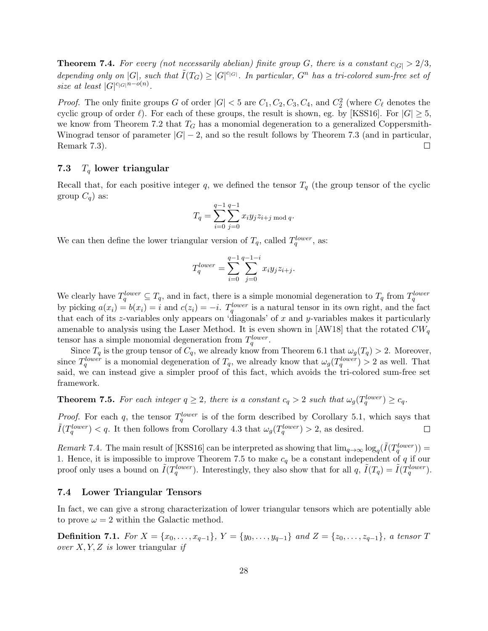**Theorem 7.4.** For every (not necessarily abelian) finite group G, there is a constant  $c_{|G|} > 2/3$ , depending only on  $|G|$ , such that  $\tilde{I}(T_G) \geq |G|^{c_{|G|}}$ . In particular,  $G^n$  has a tri-colored sum-free set of size at least  $|G|^{c_{|G|}n-o(n)}$ .

*Proof.* The only finite groups G of order  $|G| < 5$  are  $C_1, C_2, C_3, C_4$ , and  $C_2^2$  (where  $C_{\ell}$  denotes the cyclic group of order  $\ell$ ). For each of these groups, the result is shown, eg. by [KSS16]. For  $|G| \geq 5$ , we know from Theorem 7.2 that  $T_G$  has a monomial degeneration to a generalized Coppersmith-Winograd tensor of parameter  $|G| - 2$ , and so the result follows by Theorem 7.3 (and in particular, Remark 7.3). □

### 7.3  $T_q$  lower triangular

Recall that, for each positive integer q, we defined the tensor  $T_q$  (the group tensor of the cyclic group  $C_q$ ) as:

$$
T_q = \sum_{i=0}^{q-1} \sum_{j=0}^{q-1} x_i y_j z_{i+j \bmod q}.
$$

We can then define the lower triangular version of  $T_q$ , called  $T_q^{lower}$ , as:

$$
T_q^{lower} = \sum_{i=0}^{q-1} \sum_{j=0}^{q-1-i} x_i y_j z_{i+j}.
$$

We clearly have  $T_q^{lower} \subseteq T_q$ , and in fact, there is a simple monomial degeneration to  $T_q$  from  $T_q^{lower}$ by picking  $a(x_i) = b(x_i) = i$  and  $c(z_i) = -i$ .  $T_q^{lower}$  is a natural tensor in its own right, and the fact that each of its z-variables only appears on 'diagonals' of x and y-variables makes it particularly amenable to analysis using the Laser Method. It is even shown in [AW18] that the rotated  $CW_q$ tensor has a simple monomial degeneration from  $T_q^{lower}$ .

Since  $T_q$  is the group tensor of  $C_q$ , we already know from Theorem 6.1 that  $\omega_g(T_q) > 2$ . Moreover, since  $T_q^{lower}$  is a monomial degeneration of  $T_q$ , we already know that  $\omega_g(T_q^{lower}) > 2$  as well. That said, we can instead give a simpler proof of this fact, which avoids the tri-colored sum-free set framework.

**Theorem 7.5.** For each integer  $q \geq 2$ , there is a constant  $c_q > 2$  such that  $\omega_g(T_q^{lower}) \geq c_q$ .

*Proof.* For each q, the tensor  $T_q^{lower}$  is of the form described by Corollary 5.1, which says that  $\tilde{I}(T_q^{lower}) < q$ . It then follows from Corollary 4.3 that  $\omega_g(T_q^{lower}) > 2$ , as desired.  $\Box$ 

Remark 7.4. The main result of [KSS16] can be interpreted as showing that  $\lim_{q\to\infty} \log_q(\tilde{I}(T_q^{lower})) =$ 1. Hence, it is impossible to improve Theorem 7.5 to make  $c_q$  be a constant independent of q if our proof only uses a bound on  $\tilde{I}(T_q^{lower})$ . Interestingly, they also show that for all  $q$ ,  $\tilde{I}(T_q) = \tilde{I}(T_q^{lower})$ .

### 7.4 Lower Triangular Tensors

In fact, we can give a strong characterization of lower triangular tensors which are potentially able to prove  $\omega = 2$  within the Galactic method.

**Definition 7.1.** For  $X = \{x_0, \ldots, x_{q-1}\}, Y = \{y_0, \ldots, y_{q-1}\}$  and  $Z = \{z_0, \ldots, z_{q-1}\}, a tensor T$ over  $X, Y, Z$  is lower triangular if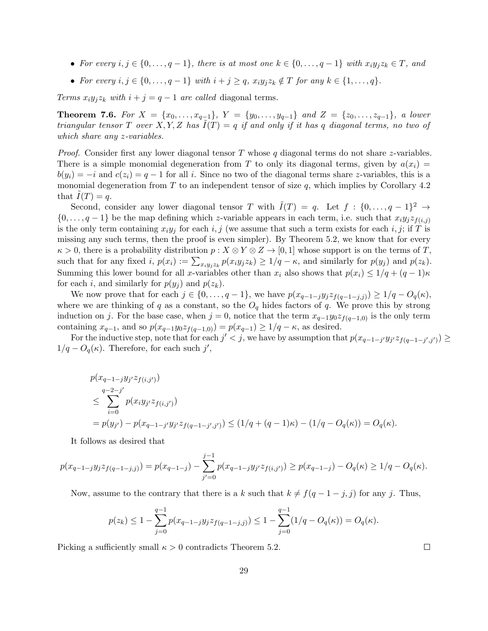- For every  $i, j \in \{0, \ldots, q-1\}$ , there is at most one  $k \in \{0, \ldots, q-1\}$  with  $x_i y_j z_k \in T$ , and
- For every  $i, j \in \{0, \ldots, q-1\}$  with  $i + j \geq q$ ,  $x_i y_j z_k \notin T$  for any  $k \in \{1, \ldots, q\}$ .

Terms  $x_i y_j z_k$  with  $i + j = q - 1$  are called diagonal terms.

**Theorem 7.6.** For  $X = \{x_0, \ldots, x_{q-1}\}, Y = \{y_0, \ldots, y_{q-1}\}$  and  $Z = \{z_0, \ldots, z_{q-1}\}, a\ lower$ triangular tensor T over X, Y, Z has  $\tilde{I}(T) = q$  if and only if it has q diagonal terms, no two of which share any z-variables.

*Proof.* Consider first any lower diagonal tensor T whose q diagonal terms do not share z-variables. There is a simple monomial degeneration from T to only its diagonal terms, given by  $a(x_i)$  =  $b(y_i) = -i$  and  $c(z_i) = q - 1$  for all i. Since no two of the diagonal terms share z-variables, this is a monomial degeneration from  $T$  to an independent tensor of size  $q$ , which implies by Corollary 4.2 that  $\overline{I}(T) = q$ .

Second, consider any lower diagonal tensor T with  $\tilde{I}(T) = q$ . Let  $f : \{0, \ldots, q-1\}^2 \to$  $\{0,\ldots,q-1\}$  be the map defining which z-variable appears in each term, i.e. such that  $x_i y_j z_{f(i,j)}$ is the only term containing  $x_iy_j$  for each i, j (we assume that such a term exists for each i, j; if T is missing any such terms, then the proof is even simpler). By Theorem 5.2, we know that for every  $\kappa > 0$ , there is a probability distribution  $p : X \otimes Y \otimes Z \to [0,1]$  whose support is on the terms of T, such that for any fixed  $i, p(x_i) := \sum_{x_i y_j z_k} p(x_i y_j z_k) \geq 1/q - \kappa$ , and similarly for  $p(y_j)$  and  $p(z_k)$ . Summing this lower bound for all x-variables other than  $x_i$  also shows that  $p(x_i) \leq 1/q + (q-1)\kappa$ for each i, and similarly for  $p(y_i)$  and  $p(z_k)$ .

We now prove that for each  $j \in \{0, \ldots, q-1\}$ , we have  $p(x_{q-1-j}y_jz_{f(q-1-j,j)}) \geq 1/q - O_q(\kappa)$ , where we are thinking of q as a constant, so the  $O<sub>q</sub>$  hides factors of q. We prove this by strong induction on j. For the base case, when  $j = 0$ , notice that the term  $x_{q-1}y_0z_{f(q-1,0)}$  is the only term containing  $x_{q-1}$ , and so  $p(x_{q-1}y_0z_{f(q-1,0)}) = p(x_{q-1}) \geq 1/q - \kappa$ , as desired.

For the inductive step, note that for each  $j' < j$ , we have by assumption that  $p(x_{q-1-j'}y_{j'}z_{f(q-1-j',j')}) \ge$  $1/q - O_q(\kappa)$ . Therefore, for each such j',

$$
p(x_{q-1-j}y_j \cdot z_{f(i,j')})
$$
  
\n
$$
\leq \sum_{i=0}^{q-2-j'} p(x_iy_{j'}z_{f(i,j')})
$$
  
\n
$$
= p(y_{j'}) - p(x_{q-1-j'}y_{j'}z_{f(q-1-j',j')}) \leq (1/q + (q-1)\kappa) - (1/q - O_q(\kappa)) = O_q(\kappa).
$$

It follows as desired that

$$
p(x_{q-1-j}y_jz_{f(q-1-j,j)}) = p(x_{q-1-j}) - \sum_{j'=0}^{j-1} p(x_{q-1-j}y_{j'}z_{f(i,j')}) \ge p(x_{q-1-j}) - O_q(\kappa) \ge 1/q - O_q(\kappa).
$$

Now, assume to the contrary that there is a k such that  $k \neq f(q - 1 - j, j)$  for any j. Thus,

$$
p(z_k) \le 1 - \sum_{j=0}^{q-1} p(x_{q-1-j}y_j z_{f(q-1-j,j)}) \le 1 - \sum_{j=0}^{q-1} (1/q - O_q(\kappa)) = O_q(\kappa).
$$

Picking a sufficiently small  $\kappa > 0$  contradicts Theorem 5.2.

 $\Box$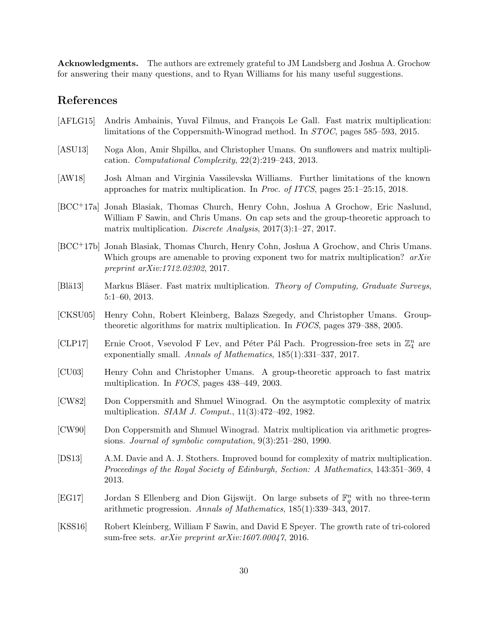Acknowledgments. The authors are extremely grateful to JM Landsberg and Joshua A. Grochow for answering their many questions, and to Ryan Williams for his many useful suggestions.

# References

- [AFLG15] Andris Ambainis, Yuval Filmus, and François Le Gall. Fast matrix multiplication: limitations of the Coppersmith-Winograd method. In STOC, pages 585–593, 2015.
- [ASU13] Noga Alon, Amir Shpilka, and Christopher Umans. On sunflowers and matrix multiplication. Computational Complexity, 22(2):219–243, 2013.
- [AW18] Josh Alman and Virginia Vassilevska Williams. Further limitations of the known approaches for matrix multiplication. In Proc. of ITCS, pages 25:1–25:15, 2018.
- [BCC+17a] Jonah Blasiak, Thomas Church, Henry Cohn, Joshua A Grochow, Eric Naslund, William F Sawin, and Chris Umans. On cap sets and the group-theoretic approach to matrix multiplication. Discrete Analysis, 2017(3):1–27, 2017.
- [BCC+17b] Jonah Blasiak, Thomas Church, Henry Cohn, Joshua A Grochow, and Chris Umans. Which groups are amenable to proving exponent two for matrix multiplication?  $arXiv$ preprint arXiv:1712.02302, 2017.
- [Blä13] Markus Bläser. Fast matrix multiplication. Theory of Computing, Graduate Surveys, 5:1–60, 2013.
- [CKSU05] Henry Cohn, Robert Kleinberg, Balazs Szegedy, and Christopher Umans. Grouptheoretic algorithms for matrix multiplication. In FOCS, pages 379–388, 2005.
- [CLP17] Ernie Croot, Vsevolod F Lev, and Péter Pál Pach. Progression-free sets in  $\mathbb{Z}_4^n$  are exponentially small. Annals of Mathematics, 185(1):331–337, 2017.
- [CU03] Henry Cohn and Christopher Umans. A group-theoretic approach to fast matrix multiplication. In FOCS, pages 438–449, 2003.
- [CW82] Don Coppersmith and Shmuel Winograd. On the asymptotic complexity of matrix multiplication. SIAM J. Comput., 11(3):472–492, 1982.
- [CW90] Don Coppersmith and Shmuel Winograd. Matrix multiplication via arithmetic progressions. Journal of symbolic computation, 9(3):251–280, 1990.
- [DS13] A.M. Davie and A. J. Stothers. Improved bound for complexity of matrix multiplication. Proceedings of the Royal Society of Edinburgh, Section: A Mathematics, 143:351–369, 4 2013.
- [EG17] Jordan S Ellenberg and Dion Gijswijt. On large subsets of  $\mathbb{F}_q^n$  with no three-term arithmetic progression. Annals of Mathematics, 185(1):339–343, 2017.
- [KSS16] Robert Kleinberg, William F Sawin, and David E Speyer. The growth rate of tri-colored sum-free sets. arXiv preprint arXiv:1607.00047, 2016.